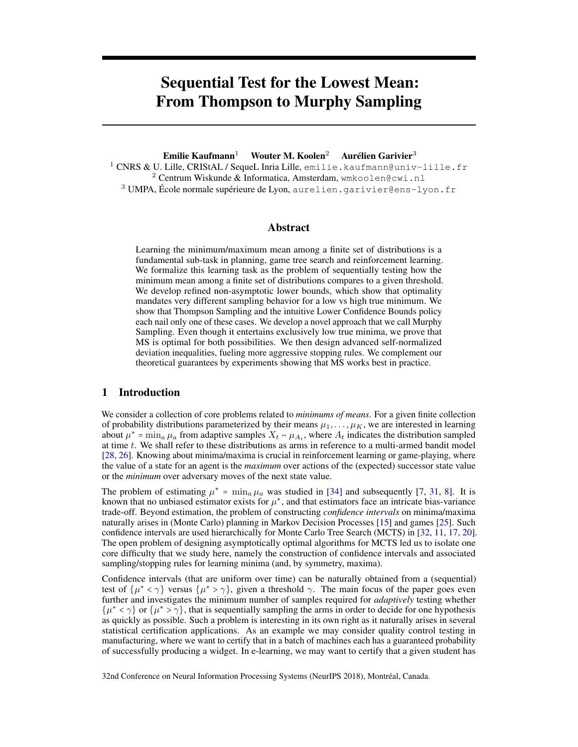# Sequential Test for the Lowest Mean: From Thompson to Murphy Sampling

Emilie Kaufmann<sup>1</sup> Wouter M. Koolen<sup>2</sup> Aurélien Garivier<sup>3</sup>

<sup>1</sup> CNRS & U. Lille, CRIStAL / SequeL Inria Lille, emilie.kaufmann@univ-lille.fr  $2$  Centrum Wiskunde & Informatica, Amsterdam, wmkoolen@cwi.nl <sup>3</sup> UMPA, École normale supérieure de Lyon, aurelien.garivier@ens-lyon.fr

## Abstract

Learning the minimum/maximum mean among a finite set of distributions is a fundamental sub-task in planning, game tree search and reinforcement learning. We formalize this learning task as the problem of sequentially testing how the minimum mean among a finite set of distributions compares to a given threshold. We develop refined non-asymptotic lower bounds, which show that optimality mandates very different sampling behavior for a low vs high true minimum. We show that Thompson Sampling and the intuitive Lower Confidence Bounds policy each nail only one of these cases. We develop a novel approach that we call Murphy Sampling. Even though it entertains exclusively low true minima, we prove that MS is optimal for both possibilities. We then design advanced self-normalized deviation inequalities, fueling more aggressive stopping rules. We complement our theoretical guarantees by experiments showing that MS works best in practice.

## 1 Introduction

We consider a collection of core problems related to *minimums of means*. For a given finite collection of probability distributions parameterized by their means  $\mu_1, \ldots, \mu_K$ , we are interested in learning about  $\mu^* = \min_a \mu_a$  from adaptive samples  $X_t \sim \mu_{A_t}$ , where  $A_t$  indicates the distribution sampled at time t. We shall refer to these distributions as arms in reference to a multi-armed bandit model [\[28,](#page-10-0) [26\]](#page-10-1). Knowing about minima/maxima is crucial in reinforcement learning or game-playing, where the value of a state for an agent is the *maximum* over actions of the (expected) successor state value or the *minimum* over adversary moves of the next state value.

The problem of estimating  $\mu^* = \min_a \mu_a$  was studied in [\[34\]](#page-10-2) and subsequently [\[7,](#page-9-0) [31,](#page-10-3) [8\]](#page-9-1). It is known that no unbiased estimator exists for  $\mu^*$ , and that estimators face an intricate bias-variance trade-off. Beyond estimation, the problem of constructing *confidence intervals* on minima/maxima naturally arises in (Monte Carlo) planning in Markov Decision Processes [\[15\]](#page-9-2) and games [\[25\]](#page-10-4). Such confidence intervals are used hierarchically for Monte Carlo Tree Search (MCTS) in [\[32,](#page-10-5) [11,](#page-9-3) [17,](#page-9-4) [20\]](#page-9-5). The open problem of designing asymptotically optimal algorithms for MCTS led us to isolate one core difficulty that we study here, namely the construction of confidence intervals and associated sampling/stopping rules for learning minima (and, by symmetry, maxima).

Confidence intervals (that are uniform over time) can be naturally obtained from a (sequential) test of  $\{\mu^* < \gamma\}$  versus  $\{\mu^* > \gamma\}$ , given a threshold  $\gamma$ . The main focus of the paper goes even further and investigates the minimum number of samples required for *adaptively* testing whether  $\{\mu^* < \gamma\}$  or  $\{\mu^* > \gamma\}$ , that is sequentially sampling the arms in order to decide for one hypothesis as quickly as possible. Such a problem is interesting in its own right as it naturally arises in several statistical certification applications. As an example we may consider quality control testing in manufacturing, where we want to certify that in a batch of machines each has a guaranteed probability of successfully producing a widget. In e-learning, we may want to certify that a given student has

32nd Conference on Neural Information Processing Systems (NeurIPS 2018), Montréal, Canada.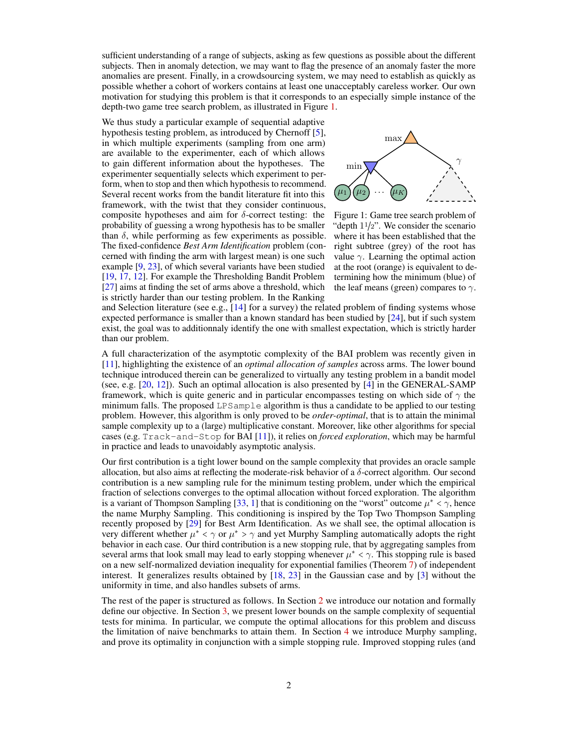sufficient understanding of a range of subjects, asking as few questions as possible about the different subjects. Then in anomaly detection, we may want to flag the presence of an anomaly faster the more anomalies are present. Finally, in a crowdsourcing system, we may need to establish as quickly as possible whether a cohort of workers contains at least one unacceptably careless worker. Our own motivation for studying this problem is that it corresponds to an especially simple instance of the depth-two game tree search problem, as illustrated in Figure [1.](#page-1-0)

We thus study a particular example of sequential adaptive hypothesis testing problem, as introduced by Chernoff [\[5\]](#page-9-6), in which multiple experiments (sampling from one arm) are available to the experimenter, each of which allows to gain different information about the hypotheses. The experimenter sequentially selects which experiment to perform, when to stop and then which hypothesis to recommend. Several recent works from the bandit literature fit into this framework, with the twist that they consider continuous, composite hypotheses and aim for  $\delta$ -correct testing: the probability of guessing a wrong hypothesis has to be smaller than  $\delta$ , while performing as few experiments as possible. The fixed-confidence *Best Arm Identification* problem (concerned with finding the arm with largest mean) is one such example [\[9,](#page-9-7) [23\]](#page-9-8), of which several variants have been studied [\[19,](#page-9-9) [17,](#page-9-4) [12\]](#page-9-10). For example the Thresholding Bandit Problem [\[27\]](#page-10-6) aims at finding the set of arms above a threshold, which is strictly harder than our testing problem. In the Ranking



<span id="page-1-0"></span>Figure 1: Game tree search problem of "depth  $11/2$ ". We consider the scenario where it has been established that the right subtree (grey) of the root has value  $\gamma$ . Learning the optimal action at the root (orange) is equivalent to determining how the minimum (blue) of the leaf means (green) compares to  $\gamma$ .

and Selection literature (see e.g.,  $[14]$  for a survey) the related problem of finding systems whose expected performance is smaller than a known standard has been studied by [\[24\]](#page-10-7), but if such system exist, the goal was to additionnaly identify the one with smallest expectation, which is strictly harder than our problem.

A full characterization of the asymptotic complexity of the BAI problem was recently given in [\[11\]](#page-9-3), highlighting the existence of an *optimal allocation of samples* across arms. The lower bound technique introduced therein can be generalized to virtually any testing problem in a bandit model (see, e.g. [\[20,](#page-9-5) [12\]](#page-9-10)). Such an optimal allocation is also presented by [\[4\]](#page-9-12) in the GENERAL-SAMP framework, which is quite generic and in particular encompasses testing on which side of  $\gamma$  the minimum falls. The proposed LPSample algorithm is thus a candidate to be applied to our testing problem. However, this algorithm is only proved to be *order-optimal*, that is to attain the minimal sample complexity up to a (large) multiplicative constant. Moreover, like other algorithms for special cases (e.g. Track-and-Stop for BAI [\[11\]](#page-9-3)), it relies on *forced exploration*, which may be harmful in practice and leads to unavoidably asymptotic analysis.

Our first contribution is a tight lower bound on the sample complexity that provides an oracle sample allocation, but also aims at reflecting the moderate-risk behavior of a  $\delta$ -correct algorithm. Our second contribution is a new sampling rule for the minimum testing problem, under which the empirical fraction of selections converges to the optimal allocation without forced exploration. The algorithm is a variant of Thompson Sampling [\[33,](#page-10-8) [1\]](#page-8-0) that is conditioning on the "worst" outcome  $\mu^* < \gamma$ , hence the name Murphy Sampling. This conditioning is inspired by the Top Two Thompson Sampling recently proposed by [\[29\]](#page-10-9) for Best Arm Identification. As we shall see, the optimal allocation is very different whether  $\mu^* < \gamma$  or  $\mu^* > \gamma$  and yet Murphy Sampling automatically adopts the right behavior in each case. Our third contribution is a new stopping rule, that by aggregating samples from several arms that look small may lead to early stopping whenever  $\mu^* < \gamma$ . This stopping rule is based on a new self-normalized deviation inequality for exponential families (Theorem [7\)](#page-5-0) of independent interest. It generalizes results obtained by [\[18,](#page-9-13) [23\]](#page-9-8) in the Gaussian case and by [\[3\]](#page-8-1) without the uniformity in time, and also handles subsets of arms.

The rest of the paper is structured as follows. In Section [2](#page-2-0) we introduce our notation and formally define our objective. In Section [3,](#page-2-1) we present lower bounds on the sample complexity of sequential tests for minima. In particular, we compute the optimal allocations for this problem and discuss the limitation of naive benchmarks to attain them. In Section [4](#page-4-0) we introduce Murphy sampling, and prove its optimality in conjunction with a simple stopping rule. Improved stopping rules (and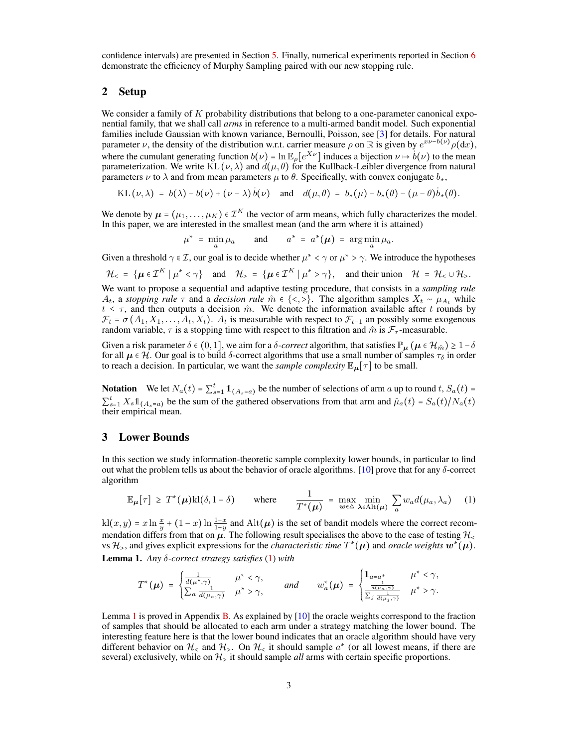confidence intervals) are presented in Section [5.](#page-5-1) Finally, numerical experiments reported in Section [6](#page-7-0) demonstrate the efficiency of Murphy Sampling paired with our new stopping rule.

## <span id="page-2-0"></span>2 Setup

We consider a family of  $K$  probability distributions that belong to a one-parameter canonical exponential family, that we shall call *arms* in reference to a multi-armed bandit model. Such exponential families include Gaussian with known variance, Bernoulli, Poisson, see [\[3\]](#page-8-1) for details. For natural parameter  $\nu$ , the density of the distribution w.r.t. carrier measure  $\rho$  on R is given by  $e^{x\nu-b(\nu)}\rho(\mathrm{d}x)$ , where the cumulant generating function  $b(\nu) = \ln \mathbb{E}_{\rho}[e^{X\nu}]$  induces a bijection  $\nu \mapsto \dot{b}(\nu)$  to the mean parameterization. We write  $KL(\nu, \lambda)$  and  $d(\mu, \theta)$  for the Kullback-Leibler divergence from natural parameters  $\nu$  to  $\lambda$  and from mean parameters  $\mu$  to  $\theta$ . Specifically, with convex conjugate  $b_*$ ,

KL 
$$
(\nu, \lambda)
$$
 =  $b(\lambda) - b(\nu) + (\nu - \lambda) b(\nu)$  and  $d(\mu, \theta) = b_*(\mu) - b_*(\theta) - (\mu - \theta) b_*(\theta)$ .

We denote by  $\mu = (\mu_1, \dots, \mu_K) \in \mathcal{I}^K$  the vector of arm means, which fully characterizes the model. In this paper, we are interested in the smallest mean (and the arm where it is attained)

$$
\mu^* = \min_a \mu_a \quad \text{and} \quad a^* = a^*(\mu) = \arg\min_a \mu_a.
$$

Given a threshold  $\gamma \in \mathcal{I}$ , our goal is to decide whether  $\mu^* < \gamma$  or  $\mu^* > \gamma$ . We introduce the hypotheses

$$
\mathcal{H}_{<} = \{\boldsymbol{\mu} \in \mathcal{I}^K \mid \mu^* < \gamma\} \quad \text{and} \quad \mathcal{H}_{>} = \{\boldsymbol{\mu} \in \mathcal{I}^K \mid \mu^* > \gamma\}, \quad \text{and their union} \quad \mathcal{H}_{\cdot} = \mathcal{H}_{<} \cup \mathcal{H}_{>}.
$$

We want to propose a sequential and adaptive testing procedure, that consists in a *sampling rule*  $A_t$ , a *stopping rule*  $\tau$  and a *decision rule*  $\hat{m}$  ∈ {<, > }. The algorithm samples  $X_t \sim \mu_{A_t}$  while  $t \leq \tau$ , and then outputs a decision  $\hat{m}$ . We denote the information available after t rounds by  $\mathcal{F}_t = \sigma(A_1, X_1, \ldots, A_t, X_t)$ .  $A_t$  is measurable with respect to  $\mathcal{F}_{t-1}$  an possibly some exogenous random variable,  $\tau$  is a stopping time with respect to this filtration and  $\hat{m}$  is  $\mathcal{F}_{\tau}$ -measurable.

Given a risk parameter  $\delta \in (0, 1]$ , we aim for a  $\delta$ -correct algorithm, that satisfies  $\mathbb{P}_{\mu}(\mu \in \mathcal{H}_{\hat{m}}) \geq 1-\delta$ for all  $\mu \in \mathcal{H}$ . Our goal is to build  $\delta$ -correct algorithms that use a small number of samples  $\tau_{\delta}$  in order to reach a decision. In particular, we want the *sample complexity*  $\mathbb{E}_{\mu}[\tau]$  to be small.

**Notation** We let  $N_a(t) = \sum_{s=1}^t \mathbb{1}_{\{A_s = a\}}$  be the number of selections of arm a up to round t,  $S_a(t) = \sum_{s=1}^t \mathbb{1}_{\{A_s = a\}}$  $\sum_{s=1}^{t} X_s \mathbb{1}_{A_s=a}$  be the sum of the gathered observations from that arm and  $\hat{\mu}_a(t) = S_a(t)/N_a(t)$ their empirical mean.

#### <span id="page-2-1"></span>3 Lower Bounds

In this section we study information-theoretic sample complexity lower bounds, in particular to find out what the problem tells us about the behavior of oracle algorithms. [\[10\]](#page-9-14) prove that for any  $\delta$ -correct algorithm

<span id="page-2-2"></span>
$$
\mathbb{E}_{\mu}[\tau] \geq T^*(\mu) \text{kl}(\delta, 1-\delta) \qquad \text{where} \qquad \frac{1}{T^*(\mu)} = \max_{\mu \in \Delta} \min_{\lambda \in \text{Alt}(\mu)} \sum_{a} w_a d(\mu_a, \lambda_a) \qquad (1)
$$

 $k(x, y) = x \ln \frac{x}{y} + (1 - x) \ln \frac{1 - x}{1 - y}$  and  $\text{Alt}(\mu)$  is the set of bandit models where the correct recom-<br>mandation different from that on us. The following soult enceighies the change to the case of testing 2/ mendation differs from that on  $\mu$ . The following result specialises the above to the case of testing  $\mathcal{H}_{\leq}$ vs  $\mathcal{H}_>$ , and gives explicit expressions for the *characteristic time*  $T^*(\mu)$  and *oracle weights*  $w^*(\mu)$ .

<span id="page-2-3"></span>Lemma 1. *Any* δ*-correct strategy satisfies* [\(1\)](#page-2-2) *with*

$$
T^*(\mu) = \begin{cases} \frac{1}{d(\mu^*, \gamma)} & \mu^* < \gamma, \\ \sum_a \frac{1}{d(\mu_a, \gamma)} & \mu^* > \gamma, \end{cases} \quad \text{and} \quad w_a^*(\mu) = \begin{cases} \mathbf{1}_{a=a^*} & \mu^* < \gamma, \\ \frac{1}{\frac{d(\mu_a, \gamma)}{d(\mu_j, \gamma)}} & \mu^* > \gamma. \end{cases}
$$

Lemma [1](#page-2-3) is proved in Appendix [B.](#page-11-0) As explained by [\[10\]](#page-9-14) the oracle weights correspond to the fraction of samples that should be allocated to each arm under a strategy matching the lower bound. The interesting feature here is that the lower bound indicates that an oracle algorithm should have very different behavior on  $\mathcal{H}_{\le}$  and  $\mathcal{H}_{>}\cdot$ . On  $\mathcal{H}_{\le}$  it should sample  $a^*$  (or all lowest means, if there are several) exclusively, while on  $H<sub>></sub>$  it should sample *all* arms with certain specific proportions.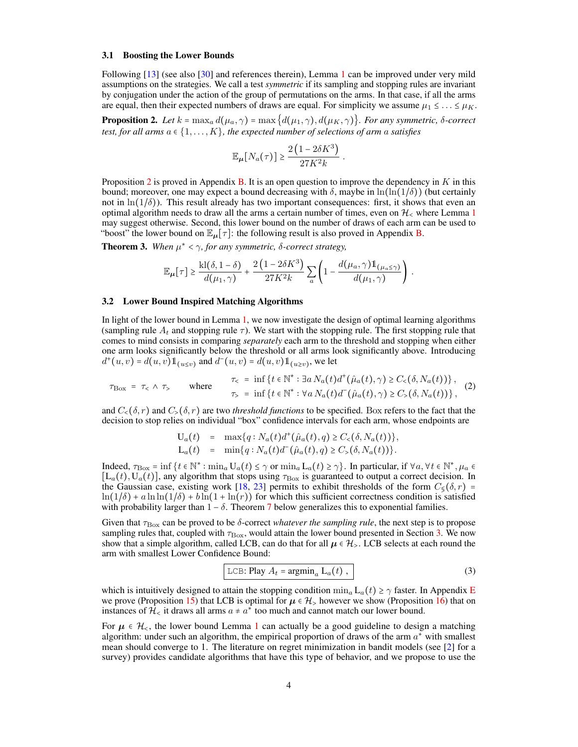#### 3.1 Boosting the Lower Bounds

Following [\[13\]](#page-9-15) (see also [\[30\]](#page-10-10) and references therein), Lemma [1](#page-2-3) can be improved under very mild assumptions on the strategies. We call a test *symmetric* if its sampling and stopping rules are invariant by conjugation under the action of the group of permutations on the arms. In that case, if all the arms are equal, then their expected numbers of draws are equal. For simplicity we assume  $\mu_1 \leq \ldots \leq \mu_K$ .

<span id="page-3-0"></span>**Proposition 2.** Let  $k = \max_a d(\mu_a, \gamma) = \max\{d(\mu_1, \gamma), d(\mu_K, \gamma)\}\$ *. For any symmetric, δ-correct test, for all arms*  $a \in \{1, \ldots, K\}$ , the expected number of selections of arm a satisfies

$$
\mathbb{E}_{\mu}[N_a(\tau)] \geq \frac{2(1 - 2\delta K^3)}{27K^2k}.
$$

Proposition [2](#page-3-0) is proved in Appendix [B.](#page-11-0) It is an open question to improve the dependency in  $K$  in this bound; moreover, one may expect a bound decreasing with  $\delta$ , maybe in  $\ln(\ln(1/\delta))$  (but certainly not in  $\ln(1/\delta)$ ). This result already has two important consequences: first, it shows that even an optimal algorithm needs to draw all the arms a certain number of times, even on  $\mathcal{H}_\leq$  where Lemma [1](#page-2-3) may suggest otherwise. Second, this lower bound on the number of draws of each arm can be used to "boost" the lower bound on  $\mathbb{E}_{\mu}[\tau]$ : the following result is also proved in Appendix [B.](#page-11-0)

<span id="page-3-2"></span>**Theorem 3.** When  $\mu^* < \gamma$ , for any symmetric,  $\delta$ -correct strategy,

$$
\mathbb{E}_{\mu}[\tau] \geq \frac{\mathrm{kl}(\delta, 1-\delta)}{d(\mu_1, \gamma)} + \frac{2(1-2\delta K^3)}{27K^2k} \sum_{a} \left(1 - \frac{d(\mu_a, \gamma) \mathbb{1}_{(\mu_a \leq \gamma)}}{d(\mu_1, \gamma)}\right).
$$

#### <span id="page-3-4"></span>3.2 Lower Bound Inspired Matching Algorithms

In light of the lower bound in Lemma [1,](#page-2-3) we now investigate the design of optimal learning algorithms (sampling rule  $A_t$  and stopping rule  $\tau$ ). We start with the stopping rule. The first stopping rule that comes to mind consists in comparing *separately* each arm to the threshold and stopping when either one arm looks significantly below the threshold or all arms look significantly above. Introducing  $d^+(u, v) = d(u, v) \mathbb{1}_{u \le v}$  and  $d^-(u, v) = d(u, v) \mathbb{1}_{u \ge v}$ , we let

<span id="page-3-1"></span>
$$
\tau_{\text{Box}} = \tau_{<} \land \tau_{>} \qquad \text{where} \qquad \tau_{<} = \inf \left\{ t \in \mathbb{N}^* : \exists a \, N_a(t) d^+(\hat{\mu}_a(t), \gamma) \ge C_{<} (\delta, N_a(t)) \right\},
$$
\n
$$
\tau_{>} = \inf \left\{ t \in \mathbb{N}^* : \forall a \, N_a(t) d^-(\hat{\mu}_a(t), \gamma) \ge C_{>} (\delta, N_a(t)) \right\},
$$
\n
$$
(2)
$$

and  $C_{\leq}(\delta, r)$  and  $C_{\geq}(\delta, r)$  are two *threshold functions* to be specified. Box refers to the fact that the decision to stop relies on individual "box" confidence intervals for each arm, whose endpoints are

$$
U_a(t) = \max\{q : N_a(t)d^+(\hat{\mu}_a(t), q) \ge C_<(\delta, N_a(t))\},
$$
  
\n
$$
L_a(t) = \min\{q : N_a(t)d^-(\hat{\mu}_a(t), q) \ge C_<(\delta, N_a(t))\}.
$$

Indeed,  $\tau_{\text{Box}} = \inf \{ t \in \mathbb{N}^* : \min_a U_a(t) \le \gamma \text{ or } \min_a L_a(t) \ge \gamma \}.$  In particular, if  $\forall a, \forall t \in \mathbb{N}^*, \mu_a \in \mathbb{N}^*$  $[L_a(t), U_a(t)]$ , any algorithm that stops using  $\tau_{\rm Box}$  is guaranteed to output a correct decision. In the Gaussian case, existing work [\[18,](#page-9-13) [23\]](#page-9-8) permits to exhibit thresholds of the form  $C_{\xi}(\delta, r)$  =  $\ln(1/\delta) + a \ln \ln(1/\delta) + b \ln(1 + \ln(r))$  for which this sufficient correctness condition is satisfied with probability larger than  $1 - \delta$ . Theorem [7](#page-5-0) below generalizes this to exponential families.

Given that  $\tau_{\rm Box}$  can be proved to be  $\delta$ -correct *whatever the sampling rule*, the next step is to propose sampling rules that, coupled with  $\tau_{\rm Box}$ , would attain the lower bound presented in Section [3.](#page-2-1) We now show that a simple algorithm, called LCB, can do that for all  $\mu \in \mathcal{H}_>$ . LCB selects at each round the arm with smallest Lower Confidence Bound:

<span id="page-3-3"></span>
$$
LCB: Play A_t = argmin_a L_a(t),
$$
\n(3)

which is intuitively designed to attain the stopping condition  $\min_a L_a(t) \geq \gamma$  faster. In Appendix [E](#page-16-0) we prove (Proposition [15\)](#page-16-1) that LCB is optimal for  $\mu \in \mathcal{H}_>$  however we show (Proposition [16\)](#page-16-2) that on instances of  $\mathcal{H}_{\leq}$  it draws all arms  $a \neq a^*$  too much and cannot match our lower bound.

For  $\mu \in \mathcal{H}_{\leq}$ , the lower bound Lemma [1](#page-2-3) can actually be a good guideline to design a matching algorithm: under such an algorithm, the empirical proportion of draws of the arm  $a^*$  with smallest mean should converge to 1. The literature on regret minimization in bandit models (see [\[2\]](#page-8-2) for a survey) provides candidate algorithms that have this type of behavior, and we propose to use the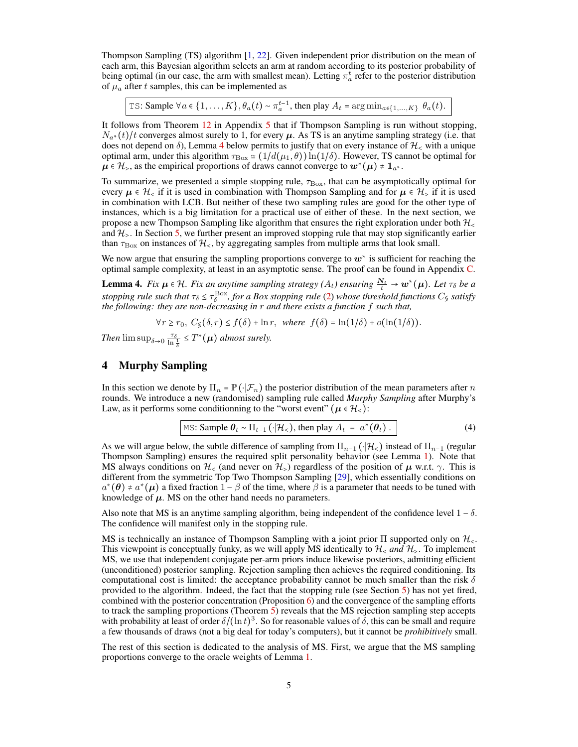Thompson Sampling (TS) algorithm [\[1,](#page-8-0) [22\]](#page-9-16). Given independent prior distribution on the mean of each arm, this Bayesian algorithm selects an arm at random according to its posterior probability of being optimal (in our case, the arm with smallest mean). Letting  $\pi_a^t$  refer to the posterior distribution of  $\mu_a$  after t samples, this can be implemented as

TS: Sample  $\forall a \in \{1, ..., K\}, \theta_a(t) \sim \pi_a^{t-1}$ , then play  $A_t = \arg \min_{a \in \{1, ..., K\}} \theta_a(t)$ .

It follows from Theorem [12](#page-15-0) in Appendix [5](#page-5-2) that if Thompson Sampling is run without stopping,  $N_{a*}(t)/t$  converges almost surely to 1, for every  $\mu$ . As TS is an anytime sampling strategy (i.e. that does not depend on  $\delta$ ), Lemma [4](#page-4-1) below permits to justify that on every instance of  $\mathcal{H}_{\leq}$  with a unique optimal arm, under this algorithm  $\tau_{\rm Box} \simeq (1/d(\mu_1, \theta)) \ln(1/\delta)$ . However, TS cannot be optimal for  $\mu \in \mathcal{H}_>$ , as the empirical proportions of draws cannot converge to  $w^*(\mu) \neq 1_{a^*}.$ 

To summarize, we presented a simple stopping rule,  $\tau_{\rm Box}$ , that can be asymptotically optimal for every  $\mu \in \mathcal{H}_\le$  if it is used in combination with Thompson Sampling and for  $\mu \in \mathcal{H}_>$  if it is used in combination with LCB. But neither of these two sampling rules are good for the other type of instances, which is a big limitation for a practical use of either of these. In the next section, we propose a new Thompson Sampling like algorithm that ensures the right exploration under both  $H_{\leq}$ and  $\mathcal{H}_{\geq}$ . In Section [5,](#page-5-1) we further present an improved stopping rule that may stop significantly earlier than  $\tau_{\rm Box}$  on instances of  $\mathcal{H}_{\leq}$ , by aggregating samples from multiple arms that look small.

We now argue that ensuring the sampling proportions converge to  $w^*$  is sufficient for reaching the optimal sample complexity, at least in an asymptotic sense. The proof can be found in Appendix [C.](#page-14-0)

<span id="page-4-1"></span>**Lemma 4.** *Fix*  $\mu \in \mathcal{H}$ *. Fix an anytime sampling strategy*  $(A_t)$  *ensuring*  $\frac{N_t}{t} \to w^*(\mu)$ *. Let*  $\tau_{\delta}$  *be a* stopping rule such that  $\tau_\delta \le \tau_\delta^{\rm Box}$ , for a Box stopping rule [\(2\)](#page-3-1) whose threshold functions  $C_\lessg$  satisfy<br>the following: they are non-decreasing in r and there exists a function f such that,

 $\forall r \geq r_0, C_{\leq}(\delta, r) \leq f(\delta) + \ln r$ , *where*  $f(\delta) = \ln(1/\delta) + o(\ln(1/\delta))$ .

*Then*  $\limsup_{\delta \to 0} \frac{\tau_{\delta}}{\ln \frac{1}{\delta}} \leq T^*(\mu)$  *almost surely.* 

### <span id="page-4-0"></span>4 Murphy Sampling

In this section we denote by  $\Pi_n = \mathbb{P}(\cdot|\mathcal{F}_n)$  the posterior distribution of the mean parameters after n rounds. We introduce a new (randomised) sampling rule called *Murphy Sampling* after Murphy's Law, as it performs some conditionning to the "worst event" ( $\mu \in \mathcal{H}_\leq$ ):

<span id="page-4-2"></span>
$$
\text{MS: Sample } \theta_t \sim \Pi_{t-1} \left( \cdot | \mathcal{H}_< \right), \text{ then play } A_t = a^*(\theta_t) \,. \tag{4}
$$

As we will argue below, the subtle difference of sampling from  $\Pi_{n-1}(\cdot|\mathcal{H}_{\leq})$  instead of  $\Pi_{n-1}$  (regular Thompson Sampling) ensures the required split personality behavior (see Lemma [1\)](#page-2-3). Note that MS always conditions on  $\mathcal{H}_{\leq}$  (and never on  $\mathcal{H}_{>}$ ) regardless of the position of  $\mu$  w.r.t.  $\gamma$ . This is different from the symmetric Top Two Thompson Sampling [\[29\]](#page-10-9), which essentially conditions on  $a^*(\theta) \neq a^*(\mu)$  a fixed fraction  $1-\beta$  of the time, where  $\beta$  is a parameter that needs to be tuned with knowledge of  $\mu$ . MS on the other hand needs no parameters.

Also note that MS is an anytime sampling algorithm, being independent of the confidence level  $1 - \delta$ . The confidence will manifest only in the stopping rule.

MS is technically an instance of Thompson Sampling with a joint prior  $\Pi$  supported only on  $\mathcal{H}_{\leq}$ . This viewpoint is conceptually funky, as we will apply MS identically to  $\mathcal{H}_\leq$  *and*  $\mathcal{H}_\geq$ . To implement MS, we use that independent conjugate per-arm priors induce likewise posteriors, admitting efficient (unconditioned) posterior sampling. Rejection sampling then achieves the required conditioning. Its computational cost is limited: the acceptance probability cannot be much smaller than the risk  $\delta$ provided to the algorithm. Indeed, the fact that the stopping rule (see Section [5\)](#page-5-1) has not yet fired, combined with the posterior concentration (Proposition [6\)](#page-5-3) and the convergence of the sampling efforts to track the sampling proportions (Theorem [5\)](#page-5-2) reveals that the MS rejection sampling step accepts with probability at least of order  $\delta/(\ln t)^3$ . So for reasonable values of  $\delta$ , this can be small and require a few thousands of draws (not a big deal for today's computers), but it cannot be *prohibitively* small.

The rest of this section is dedicated to the analysis of MS. First, we argue that the MS sampling proportions converge to the oracle weights of Lemma [1.](#page-2-3)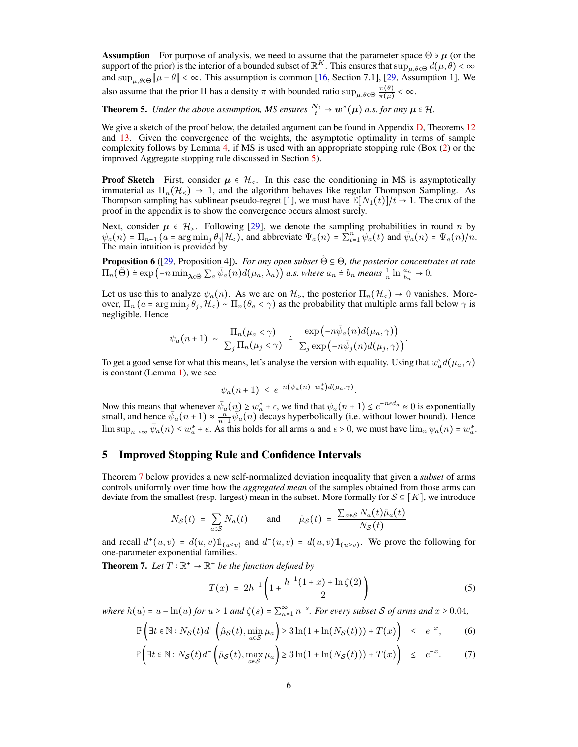**Assumption** For purpose of analysis, we need to assume that the parameter space  $\Theta \ni \mu$  (or the support of the prior) is the interior of a bounded subset of  $\mathbb{R}^K$ . This ensures that  $\sup_{\mu,\theta \in \Theta} d(\mu, \theta) < \infty$ and  $\sup_{\mu,\theta \in \Theta} ||\mu - \theta|| < \infty$ . This assumption is common [\[16,](#page-9-17) Section 7.1], [\[29,](#page-10-9) Assumption 1]. We also assume that the prior  $\Pi$  has a density  $\pi$  with bounded ratio  $\sup_{\mu,\theta \in \Theta} \frac{\pi(\theta)}{\pi(\mu)}$  $\frac{\pi(\theta)}{\pi(\mu)} < \infty.$ 

<span id="page-5-2"></span>**Theorem 5.** *Under the above assumption, MS ensures*  $\frac{N_t}{t} \to w^*(\mu)$  *a.s. for any*  $\mu \in \mathcal{H}$ .

We give a sketch of the proof below, the detailed argument can be found in Appendix [D,](#page-14-1) Theorems [12](#page-15-0) and [13.](#page-15-1) Given the convergence of the weights, the asymptotic optimality in terms of sample complexity follows by Lemma [4,](#page-4-1) if MS is used with an appropriate stopping rule (Box [\(2\)](#page-3-1) or the improved Aggregate stopping rule discussed in Section [5\)](#page-5-1).

**Proof Sketch** First, consider  $\mu \in \mathcal{H}_{\leq}$ . In this case the conditioning in MS is asymptotically immaterial as  $\Pi_n(\mathcal{H}_{\leq}) \to 1$ , and the algorithm behaves like regular Thompson Sampling. As Thompson sampling has sublinear pseudo-regret [\[1\]](#page-8-0), we must have  $\mathbb{E}[N_1(t)]/t \to 1$ . The crux of the proof in the appendix is to show the convergence occurs almost surely.

Next, consider  $\mu \in \mathcal{H}_{>1}$ . Following [\[29\]](#page-10-9), we denote the sampling probabilities in round n by  $\psi_a(n) = \prod_{n=1}^n (a = \arg\min_j \theta_j | \mathcal{H}_{\leq} )$ , and abbreviate  $\Psi_a(n) = \sum_{t=1}^n \psi_a(t)$  and  $\bar{\psi}_a(n) = \Psi_a(n)/n$ . The main intuition is provided by

<span id="page-5-3"></span>**Proposition 6** ([\[29,](#page-10-9) Proposition 4]). *For any open subset*  $\tilde{\Theta} \subseteq \Theta$ *, the posterior concentrates at rate*  $\Pi_n(\tilde{\Theta}) \doteq \exp\left(-n \min_{\lambda \in \tilde{\Theta}} \sum_a \bar{\psi}_a(n) d(\mu_a, \lambda_a)\right) a.s.$  where  $a_n \doteq b_n$  means  $\frac{1}{n} \ln \frac{a_n}{b_n} \to 0.$ 

Let us use this to analyze  $\psi_a(n)$ . As we are on  $\mathcal{H}_\geq$ , the posterior  $\Pi_n(\mathcal{H}_\leq) \to 0$  vanishes. Moreover,  $\Pi_n$  ( $a = \arg \min_j \theta_j$ ,  $\mathcal{H}_{\leq}}$ ) ~  $\Pi_n(\theta_a < \gamma)$  as the probability that multiple arms fall below  $\gamma$  is negligible. Hence

$$
\psi_a(n+1) \sim \frac{\Pi_n(\mu_a < \gamma)}{\sum_j \Pi_n(\mu_j < \gamma)} \doteq \frac{\exp(-n\bar{\psi}_a(n)d(\mu_a, \gamma))}{\sum_j \exp(-n\bar{\psi}_j(n)d(\mu_j, \gamma))}
$$

To get a good sense for what this means, let's analyse the version with equality. Using that  $w_a^*d(\mu_a, \gamma)$ is constant (Lemma [1\)](#page-2-3), we see

$$
\psi_a(n+1) \leq e^{-n(\bar{\psi}_a(n) - w_a^*)d(\mu_a, \gamma)}.
$$

Now this means that whenever  $\bar{\psi}_a(n) \geq w_a^* + \epsilon$ , we find that  $\psi_a(n+1) \leq e^{-n\epsilon d_a} \approx 0$  is exponentially small, and hence  $\bar{\psi}_a(n+1) \approx \frac{n}{n+1} \bar{\psi}_a(n)$  decays hyperbolically (i.e. without lower bound). Hence  $\limsup_{n\to\infty} \bar{\psi}_a(n) \leq w_a^* + \epsilon$ . As this holds for all arms a and  $\epsilon > 0$ , we must have  $\lim_{n\to\infty} \psi_a(n) = w_a^*$ .

#### <span id="page-5-1"></span>5 Improved Stopping Rule and Confidence Intervals

Theorem [7](#page-5-0) below provides a new self-normalized deviation inequality that given a *subset* of arms controls uniformly over time how the *aggregated mean* of the samples obtained from those arms can deviate from the smallest (resp. largest) mean in the subset. More formally for  $S \subseteq [K]$ , we introduce

$$
N_{\mathcal{S}}(t) = \sum_{a \in \mathcal{S}} N_a(t) \quad \text{and} \quad \hat{\mu}_{\mathcal{S}}(t) = \frac{\sum_{a \in \mathcal{S}} N_a(t) \hat{\mu}_a(t)}{N_{\mathcal{S}}(t)}
$$

and recall  $d^+(u, v) = d(u, v) \mathbb{1}_{u \le v}$  and  $d^-(u, v) = d(u, v) \mathbb{1}_{u \ge v}$ . We prove the following for one-parameter exponential families.

<span id="page-5-0"></span>**Theorem 7.** Let  $T: \mathbb{R}^+ \to \mathbb{R}^+$  be the function defined by

<span id="page-5-4"></span>
$$
T(x) = 2h^{-1} \left( 1 + \frac{h^{-1}(1+x) + \ln \zeta(2)}{2} \right)
$$
 (5)

.

*where*  $h(u) = u - \ln(u)$  *for*  $u \ge 1$  *and*  $\zeta(s) = \sum_{n=1}^{\infty} n^{-s}$ *. For every subset* S *of arms and*  $x \ge 0.04$ *,* 

<span id="page-5-5"></span>
$$
\mathbb{P}\left(\exists t \in \mathbb{N}: N_{\mathcal{S}}(t)d^{+}\left(\hat{\mu}_{\mathcal{S}}(t), \min_{a \in \mathcal{S}} \mu_{a}\right) \ge 3\ln(1+\ln(N_{\mathcal{S}}(t))) + T(x)\right) \le e^{-x},\qquad(6)
$$

$$
\mathbb{P}\left(\exists t \in \mathbb{N}: N_{\mathcal{S}}(t)d^{-}\left(\hat{\mu}_{\mathcal{S}}(t), \max_{a \in \mathcal{S}} \mu_{a}\right) \ge 3\ln(1+\ln(N_{\mathcal{S}}(t))) + T(x)\right) \le e^{-x}.\tag{7}
$$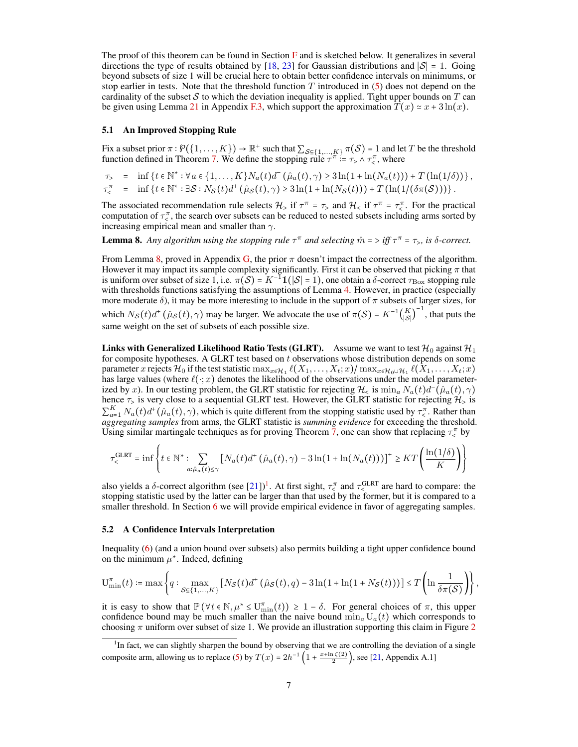The proof of this theorem can be found in Section [F](#page-17-0) and is sketched below. It generalizes in several directions the type of results obtained by [\[18,](#page-9-13) [23\]](#page-9-8) for Gaussian distributions and  $|S| = 1$ . Going beyond subsets of size 1 will be crucial here to obtain better confidence intervals on minimums, or stop earlier in tests. Note that the threshold function  $T$  introduced in [\(5\)](#page-5-4) does not depend on the cardinality of the subset S to which the deviation inequality is applied. Tight upper bounds on T can be given using Lemma [21](#page-21-0) in Appendix [F.3,](#page-21-1) which support the approximation  $T(x) \approx x + 3\ln(x)$ .

#### 5.1 An Improved Stopping Rule

Fix a subset prior  $\pi : \mathcal{P}(\{1, ..., K\}) \to \mathbb{R}^+$  such that  $\sum_{\mathcal{S} \subseteq \{1, ..., K\}} \pi(\mathcal{S}) = 1$  and let T be the threshold function defined in Theorem [7.](#page-5-0) We define the stopping rule  $\tau^{\pi} := \tau > \eta \tau^{\pi}_{\leq \eta}$ , where  $\int_{0}^{\pi}$ , where

$$
\tau_{>} = \inf \{ t \in \mathbb{N}^* : \forall a \in \{1, ..., K\} N_a(t) d^-(\hat{\mu}_a(t), \gamma) \ge 3 \ln(1 + \ln(N_a(t))) + T(\ln(1/\delta)) \}, \n\tau_{<}^{\pi} = \inf \{ t \in \mathbb{N}^* : \exists S : N_{\mathcal{S}}(t) d^+(\hat{\mu}_{\mathcal{S}}(t), \gamma) \ge 3 \ln(1 + \ln(N_{\mathcal{S}}(t))) + T(\ln(1/(\delta \pi(\mathcal{S}))) \}.
$$

The associated recommendation rule selects  $\mathcal{H}_>$  if  $\tau^{\pi} = \tau$ , and  $\mathcal{H}_<$  if  $\tau^{\pi} = \tau^{\pi}_<$ . For the practical commutation of  $\tau^{\pi}$ , the escape was subsets can be reduced to posted subsets including sums sor computation of  $\tau^{\pi}_{\zeta}$ , the search over subsets can be reduced to nested subsets including arms sorted by increasing empirical mean and smaller than  $\gamma$ .

<span id="page-6-0"></span>**Lemma 8.** Any algorithm using the stopping rule  $\tau^{\pi}$  and selecting  $\hat{m} = \int f \, \tau^{\pi} = \tau_{>}$ , is  $\delta$ -correct.

From Lemma [8,](#page-6-0) proved in Appendix [G,](#page-22-0) the prior  $\pi$  doesn't impact the correctness of the algorithm. However it may impact its sample complexity significantly. First it can be observed that picking  $\pi$  that is uniform over subset of size 1, i.e.  $\pi(S) = K^{-1} \mathbb{1}(|S| = 1)$ , one obtain a  $\delta$ -correct  $\tau_{\rm Box}$  stopping rule with thresholds functions satisfying the assumptions of Lemma [4.](#page-4-1) However, in practice (especially more moderate  $\delta$ ), it may be more interesting to include in the support of  $\pi$  subsets of larger sizes, for which  $N_S(t)d^+(\hat{\mu}_S(t), \gamma)$  may be larger. We advocate the use of  $\pi(S) = K^{-1}(\frac{K}{|S|})$  $\binom{K}{|S|}^{-1}$ , that puts the same weight on the set of subsets of each possible size.

**Links with Generalized Likelihood Ratio Tests (GLRT).** Assume we want to test  $\mathcal{H}_0$  against  $\mathcal{H}_1$ for composite hypotheses. A GLRT test based on  $t$  observations whose distribution depends on some parameter x rejects  $\mathcal{H}_0$  if the test statistic  $\max_{x \in \mathcal{H}_1} \ell(X_1, \ldots, X_t; x) / \max_{x \in \mathcal{H}_0 \cup \mathcal{H}_1} \ell(X_1, \ldots, X_t; x)$ has large values (where  $\ell(\cdot; x)$  denotes the likelihood of the observations under the model parameterized by x). In our testing problem, the GLRT statistic for rejecting  $\mathcal{H}_{\leq}$  is  $\min_{a} N_a(t) d^{-}(\hat{\mu}_a(t), \gamma)$ hence  $\tau$ , is very close to a sequential GLRT test. However, the GLRT statistic for rejecting  $\mathcal{H}_>$  is  $\sum_{a}^{K} N_a(t) d^+(\hat{\mu}_a(t), \gamma)$ , which is quite different from the stopping statistic used by  $\tau_a^{\pi}$ . Rather than  $\overline{a}$  *aggregating samples* from arms, the GLRT statistic is *summing evidence* for exceeding the threshold. Using similar martingale techniques as for proving Theorem [7,](#page-5-0) one can show that replacing  $\tau_{\leq}^{\pi}$  by

$$
\tau_<^{\text{GLRT}} = \inf \left\{ t \in \mathbb{N}^* : \sum_{a: \hat{\mu}_a(t) \leq \gamma} \left[ N_a(t) d^+ \left( \hat{\mu}_a(t), \gamma \right) - 3 \ln \left( 1 + \ln(N_a(t)) \right) \right]^+ \geq KT \left( \frac{\ln(1/\delta)}{K} \right) \right\}
$$

also yields a  $\delta$ -correct algorithm (see [\[21\]](#page-9-18))<sup>[1](#page-6-1)</sup>. At first sight,  $\tau_{\epsilon}^{\pi}$  $\frac{\pi}{6}$  and  $\tau$ <sub>5</sub>GLRT d by the form  $\epsilon$ <sup>GLRT</sup> are hard to compare: the stopping statistic used by the latter can be larger than that used by the former, but it is compared to a smaller threshold. In Section  $6$  we will provide empirical evidence in favor of aggregating samples.

#### 5.2 A Confidence Intervals Interpretation

Inequality [\(6\)](#page-5-5) (and a union bound over subsets) also permits building a tight upper confidence bound on the minimum  $\mu^*$ . Indeed, defining

$$
\mathbf{U}_{\min}^{\pi}(t) \coloneqq \max\left\{q: \max_{\mathcal{S}\in\{1,\ldots,K\}}\left[N_{\mathcal{S}}(t)d^{+}\left(\hat{\mu}_{\mathcal{S}}(t),q\right)-3\ln(1+\ln(1+N_{\mathcal{S}}(t)))\right]\leq T\left(\ln\frac{1}{\delta\pi(\mathcal{S})}\right)\right\},\right.
$$

it is easy to show that  $\mathbb{P}(\forall t \in \mathbb{N}, \mu^* \leq U_{\min}^{\pi}(t)) \geq 1 - \delta$ . For general choices of  $\pi$ , this upper confidence bound may be much smaller than the naive bound  $\min_a U_a(t)$  which corresponds to choosing  $\pi$  uniform over subset of size 1. We provide an illustration supporting this claim in Figure [2](#page-7-1)

<span id="page-6-1"></span><sup>&</sup>lt;sup>1</sup>In fact, we can slightly sharpen the bound by observing that we are controlling the deviation of a single composite arm, allowing us to replace [\(5\)](#page-5-4) by  $T(x) = 2h^{-1}\left(1 + \frac{x + \ln \zeta(2)}{2}\right)$ , see [\[21,](#page-9-18) Appendix A.1]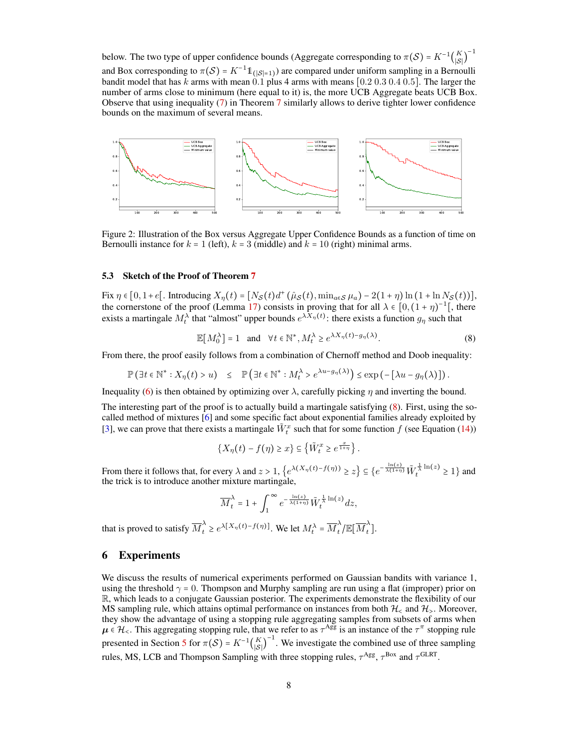below. The two type of upper confidence bounds (Aggregate corresponding to  $\pi(S) = K^{-1}\binom{K}{|S|}$  $\binom{K}{|\mathcal{S}|}^{-1}$ and Box corresponding to  $\pi(S) = K^{-1} \mathbb{1}_{(|S|=1)}$  are compared under uniform sampling in a Bernoulli bandit model that has k arms with mean 0.1 plus 4 arms with means  $[0.2 0.3 0.4 0.5]$ . The larger the number of arms close to minimum (here equal to it) is, the more UCB Aggregate beats UCB Box. Observe that using inequality [\(7\)](#page-5-5) in Theorem [7](#page-5-0) similarly allows to derive tighter lower confidence bounds on the maximum of several means.



<span id="page-7-1"></span>Figure 2: Illustration of the Box versus Aggregate Upper Confidence Bounds as a function of time on Bernoulli instance for  $k = 1$  (left),  $k = 3$  (middle) and  $k = 10$  (right) minimal arms.

#### 5.3 Sketch of the Proof of Theorem [7](#page-5-0)

Fix  $\eta \in [0, 1 + \epsilon[$ . Introducing  $X_{\eta}(t) = [N_{\mathcal{S}}(t)d^{+}(\hat{\mu}_{\mathcal{S}}(t), \min_{a \in \mathcal{S}} \mu_{a}) - 2(1 + \eta) \ln(1 + \ln N_{\mathcal{S}}(t))]$ , the cornerstone of the proof (Lemma [17\)](#page-17-1) consists in proving that for all  $\lambda \in [0, (1 + \eta)^{-1}]$ , there exists a martingale  $M_t^{\lambda}$  that "almost" upper bounds  $e^{\lambda X_\eta(t)}$ : there exists a function  $g_\eta$  such that

<span id="page-7-2"></span>
$$
\mathbb{E}[M_0^{\lambda}] = 1 \quad \text{and} \quad \forall t \in \mathbb{N}^*, M_t^{\lambda} \ge e^{\lambda X_\eta(t) - g_\eta(\lambda)}.
$$
 (8)

From there, the proof easily follows from a combination of Chernoff method and Doob inequality:

$$
\mathbb{P}\left(\exists t\in\mathbb{N}^*: X_{\eta}(t)>u\right)\;\;\leq\;\;\mathbb{P}\left(\exists t\in\mathbb{N}^*: M_t^{\lambda}>e^{\lambda u-g_{\eta}(\lambda)}\right)\leq \exp\left(-\left[\lambda u-g_{\eta}(\lambda)\right]\right).
$$

Inequality [\(6\)](#page-5-5) is then obtained by optimizing over  $\lambda$ , carefully picking  $\eta$  and inverting the bound.

The interesting part of the proof is to actually build a martingale satisfying [\(8\)](#page-7-2). First, using the socalled method of mixtures [\[6\]](#page-9-19) and some specific fact about exponential families already exploited by [\[3\]](#page-8-1), we can prove that there exists a martingale  $\tilde{W}_t^x$  such that for some function f (see Equation [\(14\)](#page-19-0))

$$
\left\{X_{\eta}(t) - f(\eta) \geq x\right\} \subseteq \left\{\tilde{W}_t^x \geq e^{\frac{x}{1+\eta}}\right\}.
$$

From there it follows that, for every  $\lambda$  and  $z > 1$ ,  $\left\{e^{\lambda(X_{\eta}(t) - f(\eta))} \geq z\right\} \subseteq \left\{e^{-\frac{\ln(z)}{\lambda(1+\eta)}} \tilde{W}_t^{\frac{1}{\lambda}\ln(z)} \geq 1\right\}$  and the trick is to introduce another mixture martingale,

$$
\overline{M}_t^\lambda = 1 + \int_1^\infty e^{-\frac{\ln(z)}{\lambda(1+\eta)}} \tilde{W}_t^{\frac{1}{\lambda}\ln(z)} dz,
$$

that is proved to satisfy  $\overline{M}_t^{\lambda} \geq e^{\lambda [X_{\eta}(t) - f(\eta)]}$ . We let  $M_t^{\lambda} = \overline{M}_t^{\lambda}$  $\frac{\lambda}{t}/\mathbb{E}[\overline{M}^{\lambda}_t]$  $\int_t$ ].

## <span id="page-7-0"></span>6 Experiments

We discuss the results of numerical experiments performed on Gaussian bandits with variance 1, using the threshold  $\gamma = 0$ . Thompson and Murphy sampling are run using a flat (improper) prior on R, which leads to a conjugate Gaussian posterior. The experiments demonstrate the flexibility of our MS sampling rule, which attains optimal performance on instances from both  $\mathcal{H}_\leq$  and  $\mathcal{H}_\geq$ . Moreover, they show the advantage of using a stopping rule aggregating samples from subsets of arms when  $\mu \in \mathcal{H}_{\leq}$ . This aggregating stopping rule, that we refer to as  $\tau^{Agg}$  is an instance of the  $\tau^{\pi}$  stopping rule presented in Section [5](#page-5-1) for  $\pi(S) = K^{-1} {K \choose |S|}^{-1}$ . We investigate the combined use of three sampling rules, MS, LCB and Thompson Sampling with three stopping rules,  $\tau^{\text{Agg}}$ ,  $\tau^{\text{Box}}$  and  $\tau^{\text{GLRT}}$ .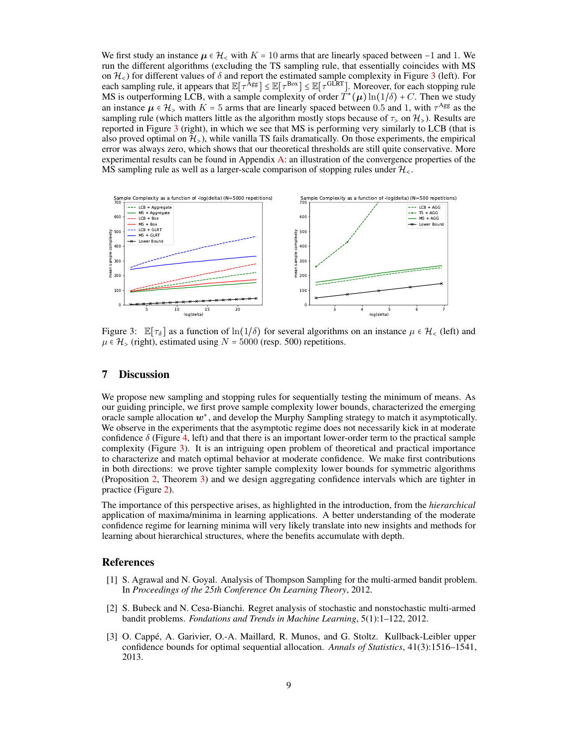We first study an instance  $\mu \in \mathcal{H}_{< 1}$  with  $K = 10$  arms that are linearly spaced between -1 and 1. We run the different algorithms (excluding the TS sampling rule, that essentially coincides with MS on  $\mathcal{H}_<$ ) for different values of  $\delta$  and report the estimated sample complexity in Figure [3](#page-8-3) (left). For each stopping rule and stopping rule  $\mathbb{E}[\tau^{\text{Agg}}] \leq \mathbb{E}[\tau^{\text{Box}}] \leq \mathbb{E}[\tau^{\text{GLRT}}]$ . Moreover, for e MS is outperforming LCB, with a sample complexity of order  $T^*(\boldsymbol{\mu}) \ln(1/\delta) + C.$  Then we study an instance  $\mu \in \mathcal{H}_>$  with  $K = 5$  arms that are linearly spaced between 0.5 and 1, with  $\tau^{\text{Agg}}$  as the compline rule (which metters little set the electricity meetly store because of  $\tau$ , or  $2l$ ). Peculta are sampling rule (which matters little as the algorithm mostly stops because of  $\tau$  on  $\mathcal{H}_>$ ). Results are reported in Figure [3](#page-8-3) (right), in which we see that MS is performing very similarly to LCB (that is also proved optimal on  $\mathcal{H}_>$ ), while vanilla TS fails dramatically. On those experiments, the empirical error was always zero, which shows that our theoretical thresholds are still quite conservative. More experimental results can be found in Appendix [A:](#page-11-1) an illustration of the convergence properties of the MS sampling rule as well as a larger-scale comparison of stopping rules under  $\mathcal{H}_{\leq}$ .



<span id="page-8-3"></span>Figure 3:  $\mathbb{E}[\tau_{\delta}]$  as a function of  $\ln(1/\delta)$  for several algorithms on an instance  $\mu \in \mathcal{H}_{<}$  (left) and  $\mu \in \mathcal{H}_>$  (right), estimated using  $N = 5000$  (resp. 500) repetitions.

## 7 Discussion

We propose new sampling and stopping rules for sequentially testing the minimum of means. As our guiding principle, we first prove sample complexity lower bounds, characterized the emerging oracle sample allocation  $w^*$ , and develop the Murphy Sampling strategy to match it asymptotically. We observe in the experiments that the asymptotic regime does not necessarily kick in at moderate confidence  $\delta$  (Figure [4,](#page-12-0) left) and that there is an important lower-order term to the practical sample complexity (Figure [3\)](#page-8-3). It is an intriguing open problem of theoretical and practical importance to characterize and match optimal behavior at moderate confidence. We make first contributions in both directions: we prove tighter sample complexity lower bounds for symmetric algorithms (Proposition [2,](#page-3-0) Theorem [3\)](#page-3-2) and we design aggregating confidence intervals which are tighter in practice (Figure [2\)](#page-7-1).

The importance of this perspective arises, as highlighted in the introduction, from the *hierarchical* application of maxima/minima in learning applications. A better understanding of the moderate confidence regime for learning minima will very likely translate into new insights and methods for learning about hierarchical structures, where the benefits accumulate with depth.

#### References

- <span id="page-8-0"></span>[1] S. Agrawal and N. Goyal. Analysis of Thompson Sampling for the multi-armed bandit problem. In *Proceedings of the 25th Conference On Learning Theory*, 2012.
- <span id="page-8-2"></span>[2] S. Bubeck and N. Cesa-Bianchi. Regret analysis of stochastic and nonstochastic multi-armed bandit problems. *Fondations and Trends in Machine Learning*, 5(1):1–122, 2012.
- <span id="page-8-1"></span>[3] O. Cappé, A. Garivier, O.-A. Maillard, R. Munos, and G. Stoltz. Kullback-Leibler upper confidence bounds for optimal sequential allocation. *Annals of Statistics*, 41(3):1516–1541, 2013.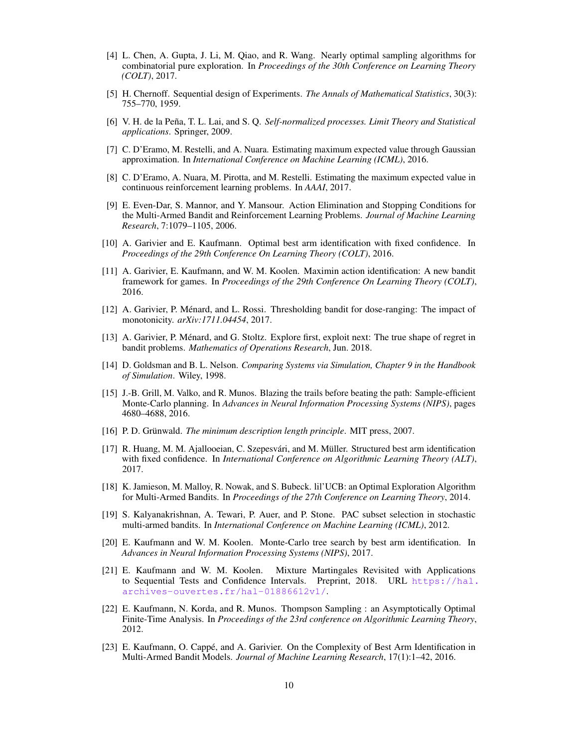- <span id="page-9-12"></span>[4] L. Chen, A. Gupta, J. Li, M. Qiao, and R. Wang. Nearly optimal sampling algorithms for combinatorial pure exploration. In *Proceedings of the 30th Conference on Learning Theory (COLT)*, 2017.
- <span id="page-9-6"></span>[5] H. Chernoff. Sequential design of Experiments. *The Annals of Mathematical Statistics*, 30(3): 755–770, 1959.
- <span id="page-9-19"></span>[6] V. H. de la Peña, T. L. Lai, and S. Q. *Self-normalized processes. Limit Theory and Statistical applications*. Springer, 2009.
- <span id="page-9-0"></span>[7] C. D'Eramo, M. Restelli, and A. Nuara. Estimating maximum expected value through Gaussian approximation. In *International Conference on Machine Learning (ICML)*, 2016.
- <span id="page-9-1"></span>[8] C. D'Eramo, A. Nuara, M. Pirotta, and M. Restelli. Estimating the maximum expected value in continuous reinforcement learning problems. In *AAAI*, 2017.
- <span id="page-9-7"></span>[9] E. Even-Dar, S. Mannor, and Y. Mansour. Action Elimination and Stopping Conditions for the Multi-Armed Bandit and Reinforcement Learning Problems. *Journal of Machine Learning Research*, 7:1079–1105, 2006.
- <span id="page-9-14"></span>[10] A. Garivier and E. Kaufmann. Optimal best arm identification with fixed confidence. In *Proceedings of the 29th Conference On Learning Theory (COLT)*, 2016.
- <span id="page-9-3"></span>[11] A. Garivier, E. Kaufmann, and W. M. Koolen. Maximin action identification: A new bandit framework for games. In *Proceedings of the 29th Conference On Learning Theory (COLT)*, 2016.
- <span id="page-9-10"></span>[12] A. Garivier, P. Ménard, and L. Rossi. Thresholding bandit for dose-ranging: The impact of monotonicity. *arXiv:1711.04454*, 2017.
- <span id="page-9-15"></span>[13] A. Garivier, P. Ménard, and G. Stoltz. Explore first, exploit next: The true shape of regret in bandit problems. *Mathematics of Operations Research*, Jun. 2018.
- <span id="page-9-11"></span>[14] D. Goldsman and B. L. Nelson. *Comparing Systems via Simulation, Chapter 9 in the Handbook of Simulation*. Wiley, 1998.
- <span id="page-9-2"></span>[15] J.-B. Grill, M. Valko, and R. Munos. Blazing the trails before beating the path: Sample-efficient Monte-Carlo planning. In *Advances in Neural Information Processing Systems (NIPS)*, pages 4680–4688, 2016.
- <span id="page-9-17"></span>[16] P. D. Grünwald. *The minimum description length principle*. MIT press, 2007.
- <span id="page-9-4"></span>[17] R. Huang, M. M. Ajallooeian, C. Szepesvári, and M. Müller. Structured best arm identification with fixed confidence. In *International Conference on Algorithmic Learning Theory (ALT)*, 2017.
- <span id="page-9-13"></span>[18] K. Jamieson, M. Malloy, R. Nowak, and S. Bubeck. lil'UCB: an Optimal Exploration Algorithm for Multi-Armed Bandits. In *Proceedings of the 27th Conference on Learning Theory*, 2014.
- <span id="page-9-9"></span>[19] S. Kalyanakrishnan, A. Tewari, P. Auer, and P. Stone. PAC subset selection in stochastic multi-armed bandits. In *International Conference on Machine Learning (ICML)*, 2012.
- <span id="page-9-5"></span>[20] E. Kaufmann and W. M. Koolen. Monte-Carlo tree search by best arm identification. In *Advances in Neural Information Processing Systems (NIPS)*, 2017.
- <span id="page-9-18"></span>[21] E. Kaufmann and W. M. Koolen. Mixture Martingales Revisited with Applications to Sequential Tests and Confidence Intervals. Preprint, 2018. URL [https://hal.](https://hal.archives-ouvertes.fr/hal-01886612v1/) [archives-ouvertes.fr/hal-01886612v1/](https://hal.archives-ouvertes.fr/hal-01886612v1/).
- <span id="page-9-16"></span>[22] E. Kaufmann, N. Korda, and R. Munos. Thompson Sampling : an Asymptotically Optimal Finite-Time Analysis. In *Proceedings of the 23rd conference on Algorithmic Learning Theory*, 2012.
- <span id="page-9-8"></span>[23] E. Kaufmann, O. Cappé, and A. Garivier. On the Complexity of Best Arm Identification in Multi-Armed Bandit Models. *Journal of Machine Learning Research*, 17(1):1–42, 2016.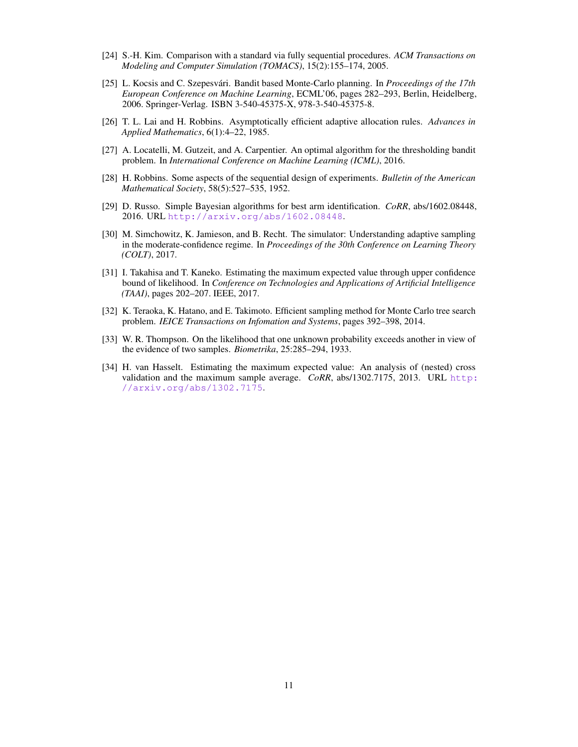- <span id="page-10-7"></span>[24] S.-H. Kim. Comparison with a standard via fully sequential procedures. *ACM Transactions on Modeling and Computer Simulation (TOMACS)*, 15(2):155–174, 2005.
- <span id="page-10-4"></span>[25] L. Kocsis and C. Szepesvári. Bandit based Monte-Carlo planning. In *Proceedings of the 17th European Conference on Machine Learning*, ECML'06, pages 282–293, Berlin, Heidelberg, 2006. Springer-Verlag. ISBN 3-540-45375-X, 978-3-540-45375-8.
- <span id="page-10-1"></span>[26] T. L. Lai and H. Robbins. Asymptotically efficient adaptive allocation rules. *Advances in Applied Mathematics*, 6(1):4–22, 1985.
- <span id="page-10-6"></span>[27] A. Locatelli, M. Gutzeit, and A. Carpentier. An optimal algorithm for the thresholding bandit problem. In *International Conference on Machine Learning (ICML)*, 2016.
- <span id="page-10-0"></span>[28] H. Robbins. Some aspects of the sequential design of experiments. *Bulletin of the American Mathematical Society*, 58(5):527–535, 1952.
- <span id="page-10-9"></span>[29] D. Russo. Simple Bayesian algorithms for best arm identification. *CoRR*, abs/1602.08448, 2016. URL <http://arxiv.org/abs/1602.08448>.
- <span id="page-10-10"></span>[30] M. Simchowitz, K. Jamieson, and B. Recht. The simulator: Understanding adaptive sampling in the moderate-confidence regime. In *Proceedings of the 30th Conference on Learning Theory (COLT)*, 2017.
- <span id="page-10-3"></span>[31] I. Takahisa and T. Kaneko. Estimating the maximum expected value through upper confidence bound of likelihood. In *Conference on Technologies and Applications of Artificial Intelligence (TAAI)*, pages 202–207. IEEE, 2017.
- <span id="page-10-5"></span>[32] K. Teraoka, K. Hatano, and E. Takimoto. Efficient sampling method for Monte Carlo tree search problem. *IEICE Transactions on Infomation and Systems*, pages 392–398, 2014.
- <span id="page-10-8"></span>[33] W. R. Thompson. On the likelihood that one unknown probability exceeds another in view of the evidence of two samples. *Biometrika*, 25:285–294, 1933.
- <span id="page-10-2"></span>[34] H. van Hasselt. Estimating the maximum expected value: An analysis of (nested) cross validation and the maximum sample average. *CoRR*, abs/1302.7175, 2013. URL [http:](http://arxiv.org/abs/1302.7175) [//arxiv.org/abs/1302.7175](http://arxiv.org/abs/1302.7175).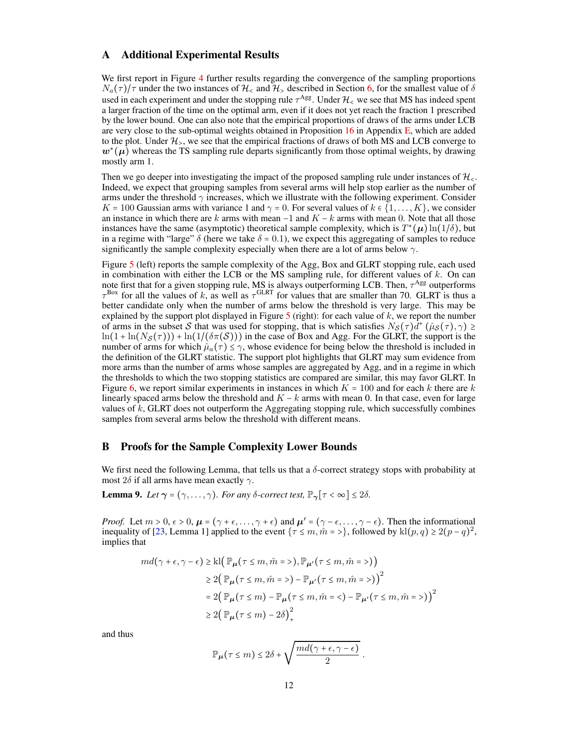## <span id="page-11-1"></span>A Additional Experimental Results

We first report in Figure [4](#page-12-0) further results regarding the convergence of the sampling proportions  $N_a(\tau)/\tau$  under the two instances of  $\mathcal{H}_\leq$  and  $\mathcal{H}_\geq$  described in Section [6,](#page-7-0) for the smallest value of  $\delta$ used in each experiment and under the stopping rule  $\tau^{Agg}$ . Under  $\mathcal{H}_{\leq}$  we see that MS has indeed spent a larger fraction of the time on the optimal arm, even if it does not yet reach the fraction 1 prescribed by the lower bound. One can also note that the empirical proportions of draws of the arms under LCB are very close to the sub-optimal weights obtained in Proposition [16](#page-16-2) in Appendix [E,](#page-16-0) which are added to the plot. Under  $\mathcal{H}_>$ , we see that the empirical fractions of draws of both MS and LCB converge to  $w^*(\mu)$  whereas the TS sampling rule departs significantly from those optimal weights, by drawing mostly arm 1.

Then we go deeper into investigating the impact of the proposed sampling rule under instances of  $\mathcal{H}_{\leq}$ . Indeed, we expect that grouping samples from several arms will help stop earlier as the number of arms under the threshold  $\gamma$  increases, which we illustrate with the following experiment. Consider K = 100 Gaussian arms with variance 1 and  $\gamma$  = 0. For several values of  $k \in \{1, \ldots, K\}$ , we consider an instance in which there are k arms with mean  $-1$  and  $K - k$  arms with mean 0. Note that all those instances have the same (asymptotic) theoretical sample complexity, which is  $T^*(\mu) \ln(1/\delta)$ , but in a regime with "large"  $\delta$  (here we take  $\delta = 0.1$ ), we expect this aggregating of samples to reduce significantly the sample complexity especially when there are a lot of arms below  $\gamma$ .

Figure [5](#page-12-1) (left) reports the sample complexity of the Agg, Box and GLRT stopping rule, each used in combination with either the LCB or the MS sampling rule, for different values of  $k$ . On can note first that for a given stopping rule, MS is always outperforming LCB. Then,  $\tau^{\text{Agg}}$  outperforms  $\tau^{\text{Box}}$  for all the values of k, as well as  $\tau^{\text{GLRT}}$  for values that are smaller than 70. GLRT is thus a better candidate only when the number of arms below the threshold is very large. This may be explained by the support plot displayed in Figure [5](#page-12-1) (right): for each value of  $k$ , we report the number of arms in the subset S that was used for stopping, that is which satisfies  $N_S(\tau)d^+(\hat{\mu}_S(\tau),\gamma) \ge$ <br> $\frac{1}{2}$  $\ln(1 + \ln(N_S(\tau))) + \ln(1/(\delta \pi(S)))$  in the case of Box and Agg. For the GLRT, the support is the number of arms for which  $\hat{\mu}_a(\tau) \leq \gamma$ , whose evidence for being below the threshold is included in the definition of the GLRT statistic. The support plot highlights that GLRT may sum evidence from more arms than the number of arms whose samples are aggregated by Agg, and in a regime in which the thresholds to which the two stopping statistics are compared are similar, this may favor GLRT. In Figure [6,](#page-12-2) we report similar experiments in instances in which  $K = 100$  and for each k there are k linearly spaced arms below the threshold and  $K - k$  arms with mean 0. In that case, even for large values of  $k$ , GLRT does not outperform the Aggregating stopping rule, which successfully combines samples from several arms below the threshold with different means.

### <span id="page-11-0"></span>B Proofs for the Sample Complexity Lower Bounds

We first need the following Lemma, that tells us that a  $\delta$ -correct strategy stops with probability at most  $2\delta$  if all arms have mean exactly  $\gamma$ .

<span id="page-11-2"></span>**Lemma 9.** *Let*  $\gamma = (\gamma, \dots, \gamma)$ *. For any δ*-correct test,  $\mathbb{P}_{\gamma}[\tau < \infty] \leq 2\delta$ *.* 

*Proof.* Let  $m > 0$ ,  $\epsilon > 0$ ,  $\mu = (\gamma + \epsilon, \dots, \gamma + \epsilon)$  and  $\mu' = (\gamma - \epsilon, \dots, \gamma - \epsilon)$ . Then the informational inequality of [\[23,](#page-9-8) Lemma 1] applied to the event  $\{\tau \leq m, \hat{m} = \rangle\}$ , followed by  $\text{kl}(p,q) \geq 2(p-q)^2$ , implies that

$$
md(\gamma + \epsilon, \gamma - \epsilon) \ge kl \Big( \mathbb{P}_{\mu}(\tau \le m, \hat{m} = \epsilon), \mathbb{P}_{\mu'}(\tau \le m, \hat{m} = \epsilon) \Big)
$$
  
\n
$$
\ge 2 \Big( \mathbb{P}_{\mu}(\tau \le m, \hat{m} = \epsilon) - \mathbb{P}_{\mu'}(\tau \le m, \hat{m} = \epsilon) \Big)^2
$$
  
\n
$$
= 2 \Big( \mathbb{P}_{\mu}(\tau \le m) - \mathbb{P}_{\mu}(\tau \le m, \hat{m} = \epsilon) - \mathbb{P}_{\mu'}(\tau \le m, \hat{m} = \epsilon) \Big)^2
$$
  
\n
$$
\ge 2 \Big( \mathbb{P}_{\mu}(\tau \le m) - 2\delta \Big)^2_+
$$

and thus

$$
\mathbb{P}_{\mu}(\tau \leq m) \leq 2\delta + \sqrt{\frac{md(\gamma + \epsilon, \gamma - \epsilon)}{2}}.
$$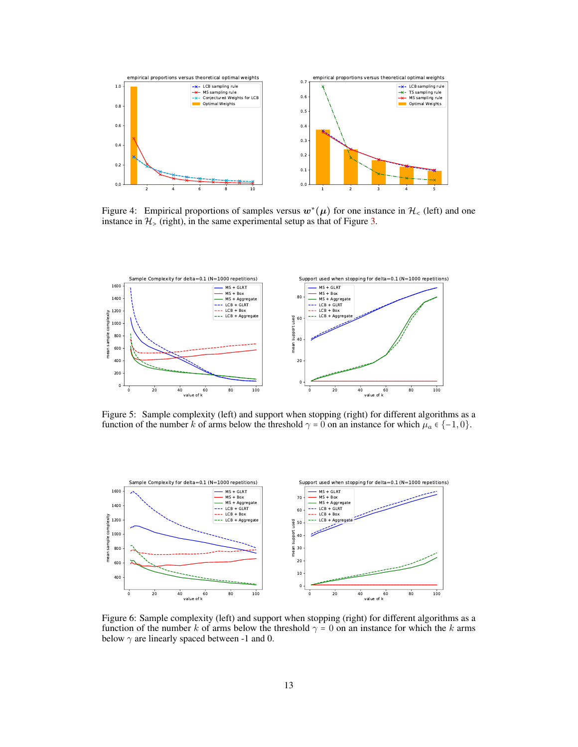

<span id="page-12-0"></span>Figure 4: Empirical proportions of samples versus  $w^*(\mu)$  for one instance in  $\mathcal{H}_\leq$  (left) and one instance in  $\mathcal{H}_\leq$  (intimes) instance in  $H<sub>></sub>$  (right), in the same experimental setup as that of Figure [3.](#page-8-3)



<span id="page-12-1"></span>Figure 5: Sample complexity (left) and support when stopping (right) for different algorithms as a function of the number k of arms below the threshold  $\gamma = 0$  on an instance for which  $\mu_a \in \{-1, 0\}$ .



<span id="page-12-2"></span>Figure 6: Sample complexity (left) and support when stopping (right) for different algorithms as a function of the number k of arms below the threshold  $\gamma = 0$  on an instance for which the k arms below  $\gamma$  are linearly spaced between -1 and 0.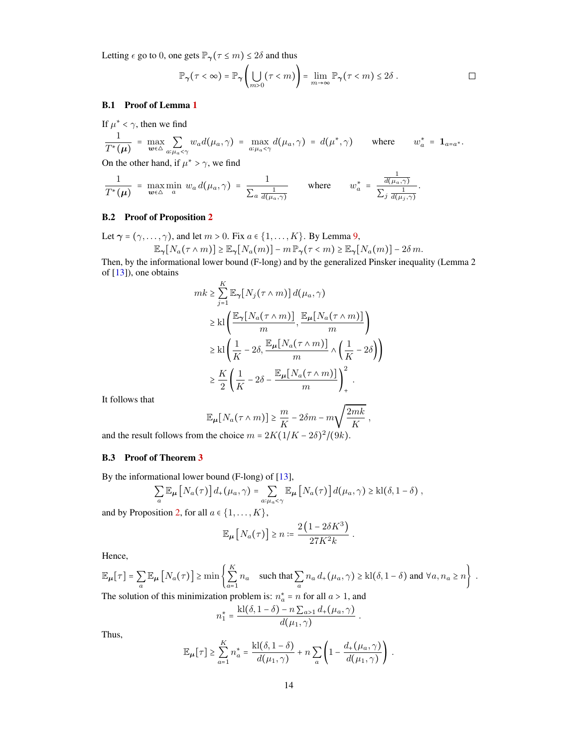Letting  $\epsilon$  go to 0, one gets  $\mathbb{P}_{\gamma}(\tau \leq m) \leq 2\delta$  and thus

$$
\mathbb{P}_{\gamma}(\tau < \infty) = \mathbb{P}_{\gamma} \left( \bigcup_{m > 0} (\tau < m) \right) = \lim_{m \to \infty} \mathbb{P}_{\gamma} (\tau < m) \le 2\delta . \qquad \qquad \Box
$$

#### B.1 Proof of Lemma [1](#page-2-3)

 $\mathbf{r}$   $\mathbf{r}$   $\mathbf{r}$ 

If 
$$
\mu^* < \gamma
$$
, then we find  
\n
$$
\frac{1}{T^*(\mu)} = \max_{w \in \Delta} \sum_{a: \mu_a < \gamma} w_a d(\mu_a, \gamma) = \max_{a: \mu_a < \gamma} d(\mu_a, \gamma) = d(\mu^*, \gamma)
$$
\nwhere  $w_a^* = \mathbf{1}_{a=a^*}$ .

On the other hand, if  $\mu^* > \gamma$ , we find

$$
\frac{1}{T^*(\mu)} = \max_{\mathbf{w} \in \Delta} \min_a w_a d(\mu_a, \gamma) = \frac{1}{\sum_a \frac{1}{d(\mu_a, \gamma)}} \quad \text{where} \quad w_a^* = \frac{\frac{1}{d(\mu_a, \gamma)}}{\sum_j \frac{1}{d(\mu_j, \gamma)}}.
$$

### B.2 Proof of Proposition [2](#page-3-0)

Let  $\gamma = (\gamma, \dots, \gamma)$ , and let  $m > 0$ . Fix  $a \in \{1, \dots, K\}$ . By Lemma [9,](#page-11-2)

$$
\mathbb{E}_{\gamma}[N_a(\tau \wedge m)] \ge \mathbb{E}_{\gamma}[N_a(m)] - m \mathbb{P}_{\gamma}(\tau < m) \ge \mathbb{E}_{\gamma}[N_a(m)] - 2\delta m.
$$

Then, by the informational lower bound (F-long) and by the generalized Pinsker inequality (Lemma 2 of [\[13\]](#page-9-15)), one obtains

$$
mk \geq \sum_{j=1}^{K} \mathbb{E}_{\gamma}[N_j(\tau \wedge m)] d(\mu_a, \gamma)
$$
  
\n
$$
\geq kl \left( \frac{\mathbb{E}_{\gamma}[N_a(\tau \wedge m)]}{m}, \frac{\mathbb{E}_{\mu}[N_a(\tau \wedge m)]}{m} \right)
$$
  
\n
$$
\geq kl \left( \frac{1}{K} - 2\delta, \frac{\mathbb{E}_{\mu}[N_a(\tau \wedge m)]}{m} \wedge \left( \frac{1}{K} - 2\delta \right) \right)
$$
  
\n
$$
\geq \frac{K}{2} \left( \frac{1}{K} - 2\delta - \frac{\mathbb{E}_{\mu}[N_a(\tau \wedge m)]}{m} \right)^2_{+}.
$$

It follows that

$$
\mathbb{E}_{\mu}[N_a(\tau \wedge m)] \ge \frac{m}{K} - 2\delta m - m\sqrt{\frac{2mk}{K}} ,
$$
  
the choice  $m = \frac{2K(1/K - 25)^2}{K}$ 

and the result follows from the choice  $m = 2K(1/K - 2\delta)^2/(9k)$ .

#### B.3 Proof of Theorem [3](#page-3-2)

By the informational lower bound (F-long) of [\[13\]](#page-9-15),

$$
\sum_{a} \mathbb{E}_{\mu} \left[ N_a(\tau) \right] d_+(\mu_a, \gamma) = \sum_{a: \mu_a < \gamma} \mathbb{E}_{\mu} \left[ N_a(\tau) \right] d(\mu_a, \gamma) \geq \text{kl}(\delta, 1 - \delta) ,
$$

and by Proposition [2,](#page-3-0) for all  $a \in \{1, \ldots, K\}$ ,

$$
\mathbb{E}_{\mu}\left[N_a(\tau)\right]\geq n:=\frac{2\left(1-2\delta K^3\right)}{27K^2k}.
$$

Hence,

$$
\mathbb{E}_{\mu}[\tau] = \sum_{a} \mathbb{E}_{\mu} [N_a(\tau)] \ge \min \left\{ \sum_{a=1}^{K} n_a \quad \text{such that } \sum_{a} n_a d_+(\mu_a, \gamma) \ge k l(\delta, 1 - \delta) \text{ and } \forall a, n_a \ge n \right\}.
$$
  
The solution of this minimization problem is:  $n_a^* = n$  for all  $a > 1$ , and

\n (on of this minimization problem is: \n 
$$
n_a^* = n
$$
\n for all  $a > 1$ , \n and\n  $k l(\delta_1 - \delta) = n \sum_{a} d_a(u, \gamma)$ \n

$$
n_1^* = \frac{\text{kl}(\delta, 1-\delta) - n \sum_{a>1} d_+(\mu_a, \gamma)}{d(\mu_1, \gamma)}
$$

.

Thus,

$$
\mathbb{E}_{\mu}[\tau] \geq \sum_{a=1}^{K} n_a^* = \frac{\text{kl}(\delta, 1-\delta)}{d(\mu_1, \gamma)} + n \sum_{a} \left(1 - \frac{d_+(\mu_a, \gamma)}{d(\mu_1, \gamma)}\right).
$$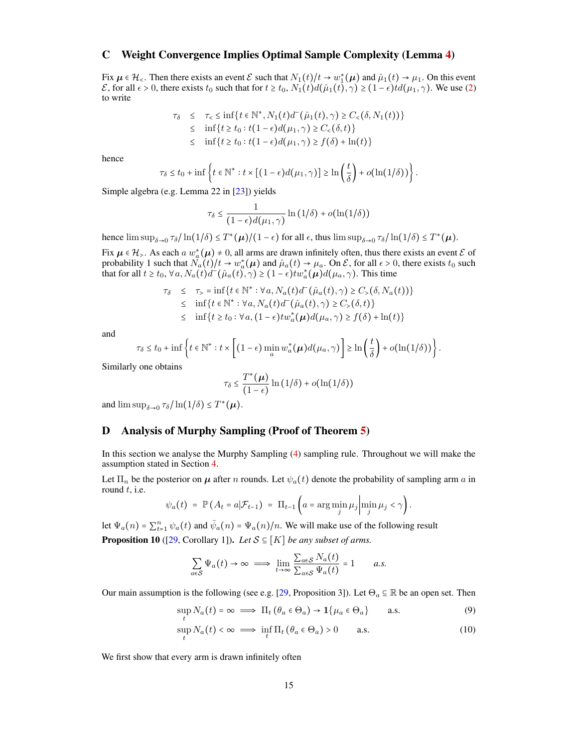## <span id="page-14-0"></span>C Weight Convergence Implies Optimal Sample Complexity (Lemma [4\)](#page-4-1)

Fix  $\mu \in \mathcal{H}_{\leq}$ . Then there exists an event  $\mathcal{E}$  such that  $N_1(t)/t \to w_1^*(\mu)$  and  $\hat{\mu}_1(t) \to \mu_1$ . On this event  $\mathcal{E}$  for all  $\leftrightarrow$  0. there exists to such that for  $t > t$ ,  $N_1(t)/t$   $\to \infty$  (4)  $\leftrightarrow$  0. (4)  $\leftrightarrow$  $\mathcal E$ , for all  $\epsilon > 0$ , there exists  $t_0$  such that for  $t \ge t_0$ ,  $N_1(t) d(\hat\mu_1(t), \gamma) \ge (1 - \epsilon) t d(\mu_1, \gamma)$ . We use [\(2\)](#page-3-1) to write

$$
\tau_{\delta} \leq \tau_{<} \leq \inf \{ t \in \mathbb{N}^{*}, N_{1}(t) d^{-}(\hat{\mu}_{1}(t), \gamma) \geq C_{<}(\delta, N_{1}(t)) \}
$$
  
\n
$$
\leq \inf \{ t \geq t_{0} : t(1 - \epsilon) d(\mu_{1}, \gamma) \geq C_{<}(\delta, t) \}
$$
  
\n
$$
\leq \inf \{ t \geq t_{0} : t(1 - \epsilon) d(\mu_{1}, \gamma) \geq f(\delta) + \ln(t) \}
$$

hence

$$
\tau_{\delta} \leq t_0 + \inf \left\{ t \in \mathbb{N}^* : t \times \left[ \left( 1 - \epsilon \right) d(\mu_1, \gamma) \right] \geq \ln \left( \frac{t}{\delta} \right) + o(\ln(1/\delta)) \right\}.
$$

Simple algebra (e.g. Lemma 22 in [\[23\]](#page-9-8)) yields

$$
\tau_{\delta} \le \frac{1}{(1-\epsilon)d(\mu_1, \gamma)}\ln(1/\delta) + o(\ln(1/\delta))
$$

hence  $\limsup_{\delta \to 0} \tau_{\delta} / \ln(1/\delta) \leq T^*(\mu) / (1 - \epsilon)$  for all  $\epsilon$ , thus  $\limsup_{\delta \to 0} \tau_{\delta} / \ln(1/\delta) \leq T^*(\mu)$ .

Fix  $\mu \in \mathcal{H}_{\geq}$ . As each a  $w^*_{\alpha}(\mu) \neq 0$ , all arms are drawn infinitely often, thus there exists an event  $\mathcal{E}$  of probability 1 such that  $N_a(t)/t \to w_a^*(\mu)$  and  $\hat{\mu}_a(t) \to \mu_a$ . On  $\mathcal{E}$ , for all  $\epsilon > 0$ , there exists  $t_0$  such that for all  $t \ge t_0$ ,  $\forall a, N_a(t)d^-(\hat{\mu}_a(t), \gamma) \ge (1 - \epsilon)tw_a^*(\mu)d(\mu_a, \gamma)$ . This time

$$
\tau_{\delta} \leq \tau_{>} = \inf \{ t \in \mathbb{N}^* : \forall a, N_a(t) d^-(\hat{\mu}_a(t), \gamma) \geq C_{>}(\delta, N_a(t)) \}
$$
  

$$
\leq \inf \{ t \in \mathbb{N}^* : \forall a, N_a(t) d^-(\hat{\mu}_a(t), \gamma) \geq C_{>}(\delta, t) \}
$$
  

$$
\leq \inf \{ t \geq t_0 : \forall a, (1 - \epsilon) t w_a^*(\mu) d(\mu_a, \gamma) \geq f(\delta) + \ln(t) \}
$$

and

$$
\tau_{\delta} \leq t_0 + \inf \left\{ t \in \mathbb{N}^* : t \times \left[ (1 - \epsilon) \min_{a} w_a^*(\boldsymbol{\mu}) d(\mu_a, \gamma) \right] \geq \ln \left( \frac{t}{\delta} \right) + o(\ln(1/\delta)) \right\}.
$$

Similarly one obtains

$$
\tau_{\delta} \leq \frac{T^*(\mu)}{(1-\epsilon)}\ln(1/\delta) + o(\ln(1/\delta))
$$

and  $\limsup_{\delta \to 0} \tau_{\delta} / \ln(1/\delta) \leq T^*(\mu)$ .

## <span id="page-14-1"></span>D Analysis of Murphy Sampling (Proof of Theorem [5\)](#page-5-2)

In this section we analyse the Murphy Sampling [\(4\)](#page-4-2) sampling rule. Throughout we will make the assumption stated in Section [4.](#page-4-0)

Let  $\Pi_n$  be the posterior on  $\mu$  after n rounds. Let  $\psi_a(t)$  denote the probability of sampling arm a in round  $t$ , i.e.

$$
\psi_a(t) = \mathbb{P}\left(A_t = a | \mathcal{F}_{t-1}\right) = \Pi_{t-1}\left(a = \arg\min_j \mu_j \left|\min_j \mu_j < \gamma\right.\right).
$$

<span id="page-14-2"></span>let  $\Psi_a(n) = \sum_{t=1}^n \psi_a(t)$  and  $\bar{\psi}_a(n) = \Psi_a(n)/n$ . We will make use of the following result **Proposition 10** ([\[29,](#page-10-9) Corollary 1]). *Let*  $S \subseteq [K]$  *be any subset of arms.* 

<span id="page-14-4"></span><span id="page-14-3"></span>
$$
\sum_{a \in S} \Psi_a(t) \to \infty \implies \lim_{t \to \infty} \frac{\sum_{a \in S} N_a(t)}{\sum_{a \in S} \Psi_a(t)} = 1 \quad a.s.
$$

Our main assumption is the following (see e.g. [\[29,](#page-10-9) Proposition 3]). Let  $\Theta_a \subseteq \mathbb{R}$  be an open set. Then

$$
\sup_{t} N_a(t) = \infty \implies \Pi_t \left( \theta_a \in \Theta_a \right) \to \mathbf{1} \{ \mu_a \in \Theta_a \} \quad \text{a.s.} \tag{9}
$$

$$
\sup_{t} N_a(t) < \infty \implies \inf_{t} \Pi_t \left( \theta_a \in \Theta_a \right) > 0 \qquad \text{a.s.} \tag{10}
$$

We first show that every arm is drawn infinitely often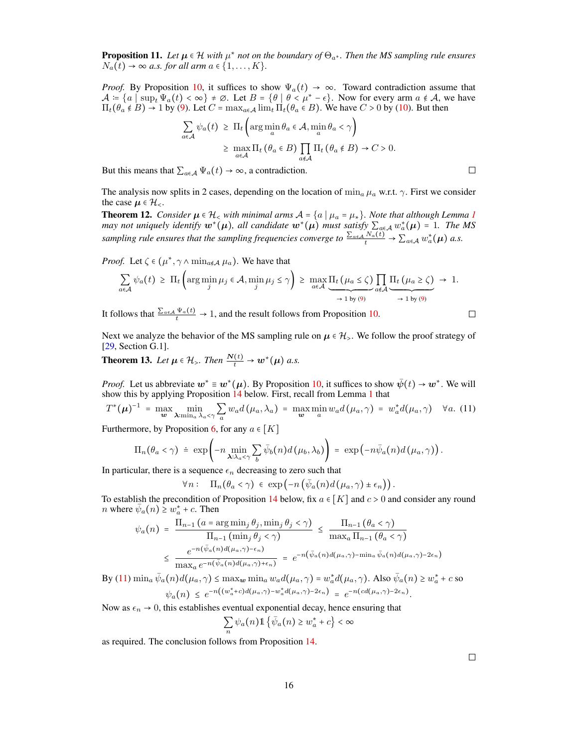Proposition 11. *Let* µ ∈ H *with* µ ∗ *not on the boundary of* Θa<sup>∗</sup> *. Then the MS sampling rule ensures*  $N_a(t) \rightarrow \infty$  *a.s. for all arm*  $a \in \{1, \ldots, K\}.$ 

*Proof.* By Proposition [10,](#page-14-2) it suffices to show  $\Psi_a(t) \to \infty$ . Toward contradiction assume that  $\mathcal{A} = \{a \mid \sup_t \Psi_a(t) < \infty\} \neq \emptyset$ . Let  $B = \{\theta \mid \theta < \mu^* - \epsilon\}$ . Now for every arm  $a \notin \mathcal{A}$ , we have  $\Pi_t(\theta_a \notin B) \to 1$  by [\(9\)](#page-14-3). Let  $C = \max_{a \in A} \lim_{t \to t} \Pi_t(\theta_a \in B)$ . We have  $C > 0$  by [\(10\)](#page-14-4). But then

$$
\sum_{a \in \mathcal{A}} \psi_a(t) \geq \Pi_t \left( \arg \min_a \theta_a \in \mathcal{A}, \min_a \theta_a < \gamma \right)
$$
\n
$$
\geq \max_{a \in \mathcal{A}} \Pi_t \left( \theta_a \in B \right) \prod_{a \notin \mathcal{A}} \Pi_t \left( \theta_a \notin B \right) \to C > 0.
$$

But this means that  $\sum_{a \in A} \Psi_a(t) \to \infty$ , a contradiction.

The analysis now splits in 2 cases, depending on the location of  $\min_a \mu_a$  w.r.t.  $\gamma$ . First we consider the case  $\mu \in \mathcal{H}_{\leq}$ .

<span id="page-15-0"></span>**Theorem [1](#page-2-3)2.** *Consider*  $\mu \in \mathcal{H}_<$  *with minimal arms*  $\mathcal{A} = \{a \mid \mu_a = \mu_*\}$ *. Note that although Lemma 1 may not uniquely identify*  $w^*(\mu)$ *, all candidate*  $w^*(\mu)$  *must satisfy*  $\sum_{\alpha \in A} w^*_{\alpha}(\mu) = 1$ *. The MS* sampling rule ensures that the sampling frequencies converge to  $\frac{\sum_{a\in A}N_a(t)}{t} \to \sum_{a\in A}w_a^*(\mu)$  a.s.

*Proof.* Let  $\zeta \in (\mu^*, \gamma \wedge \min_{a \notin \mathcal{A}} \mu_a)$ . We have that

$$
\sum_{a \in \mathcal{A}} \psi_a(t) \geq \Pi_t \left( \arg \min_j \mu_j \in \mathcal{A}, \min_j \mu_j \leq \gamma \right) \geq \max_{a \in \mathcal{A}} \underbrace{\Pi_t \left( \mu_a \leq \zeta \right)}_{\rightarrow 1 \text{ by (9)}} \prod_{a \notin \mathcal{A}} \underbrace{\Pi_t \left( \mu_a \geq \zeta \right)}_{\rightarrow 1 \text{ by (9)}} \rightarrow 1.
$$

It follows that  $\frac{\sum_{a \in A} \Psi_a(t)}{t} \to 1$ , and the result follows from Proposition [10.](#page-14-2)

Next we analyze the behavior of the MS sampling rule on  $\mu \in \mathcal{H}_{>}$ . We follow the proof strategy of [\[29,](#page-10-9) Section G.1].

<span id="page-15-1"></span>**Theorem 13.** Let  $\mu \in \mathcal{H}_>$ . Then  $\frac{N(t)}{t} \to w^*(\mu)$  a.s.

*Proof.* Let us abbreviate  $w^* \equiv w^*(\mu)$ . By Proposition [10,](#page-14-2) it suffices to show  $\bar{\psi}(t) \to w^*$ . We will show this by applying Proposition [14](#page-16-3) below. First, recall from Lemma [1](#page-2-3) that

<span id="page-15-2"></span>
$$
T^*(\boldsymbol{\mu})^{-1} = \max_{\boldsymbol{w}} \min_{\boldsymbol{\lambda} : \min_a \lambda_a < \gamma} \sum_a w_a d(\mu_a, \lambda_a) = \max_{\boldsymbol{w}} \min_a w_a d(\mu_a, \gamma) = w_a^* d(\mu_a, \gamma) \quad \forall a. (11)
$$

Furthermore, by Proposition [6,](#page-5-3) for any  $a \in [K]$ 

$$
\Pi_n(\theta_a < \gamma) \doteq \exp\left(-n \min_{\boldsymbol{\lambda}: \lambda_a < \gamma} \sum_b \bar{\psi}_b(n) d(\mu_b, \lambda_b)\right) = \exp\left(-n \bar{\psi}_a(n) d(\mu_a, \gamma)\right).
$$

In particular, there is a sequence  $\epsilon_n$  decreasing to zero such that

$$
\forall n: \quad \Pi_n(\theta_a < \gamma) \in \exp\left(-n\left(\bar{\psi}_a(n)d\left(\mu_a, \gamma\right) \pm \epsilon_n\right)\right).
$$

To establish the precondition of Proposition [14](#page-16-3) below, fix  $a \in [K]$  and  $c > 0$  and consider any round *n* where  $\bar{\psi}_a(n) \geq w_a^* + c$ . Then

$$
\psi_a(n) = \frac{\Pi_{n-1} \left( a = \arg \min_j \theta_j, \min_j \theta_j < \gamma \right)}{\Pi_{n-1} \left( \min_j \theta_j < \gamma \right)} \le \frac{\Pi_{n-1} \left( \theta_a < \gamma \right)}{\max_a \Pi_{n-1} \left( \theta_a < \gamma \right)}
$$
\n
$$
\le \frac{e^{-n(\bar{\psi}_a(n)d(\mu_a, \gamma) - \epsilon_n)}}{\max_a e^{-n(\bar{\psi}_a(n)d(\mu_a, \gamma) + \epsilon_n)}} = e^{-n(\bar{\psi}_a(n)d(\mu_a, \gamma) - \min_a \bar{\psi}_a(n)d(\mu_a, \gamma) - 2\epsilon_n)}
$$

By [\(11\)](#page-15-2)  $\min_a \bar{\psi}_a(n) d(\mu_a, \gamma) \leq \max_w \min_a w_a d(\mu_a, \gamma) = w_a^* d(\mu_a, \gamma)$ . Also  $\bar{\psi}_a(n) \geq w_a^* + c$  so  $\psi_a(n) \leq e^{-n((w_a^* + c)d(\mu_a, \gamma) - w_a^*d(\mu_a, \gamma) - 2\epsilon_n)} = e^{-n(cd(\mu_a, \gamma) - 2\epsilon_n)}.$ 

Now as  $\epsilon_n \to 0$ , this establishes eventual exponential decay, hence ensuring that

$$
\sum_{n} \psi_a(n) \mathbb{1} \left\{ \bar{\psi}_a(n) \ge w_a^* + c \right\} < \infty
$$

as required. The conclusion follows from Proposition [14.](#page-16-3)

 $\Box$ 

 $\Box$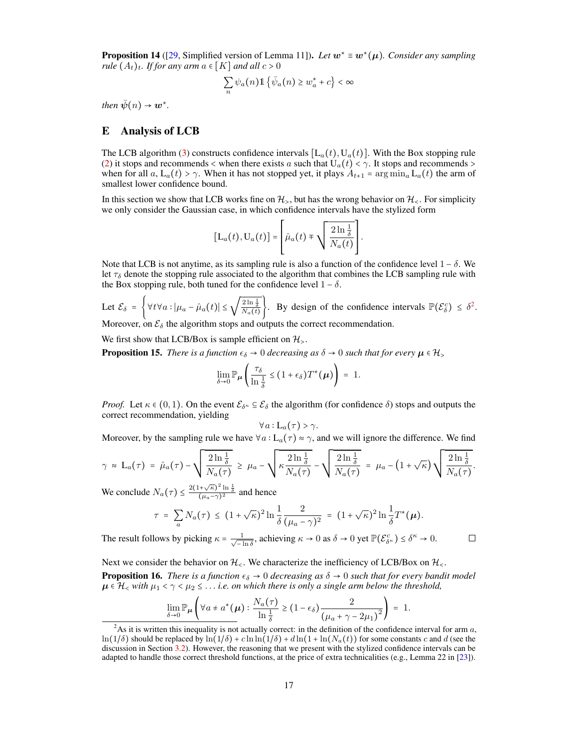<span id="page-16-3"></span>Proposition 14 ([\[29,](#page-10-9) Simplified version of Lemma 11]). *Let* w<sup>∗</sup> ≡ w<sup>∗</sup> (µ)*. Consider any sampling rule*  $(A_t)_t$ *. If for any arm*  $a \in [K]$  *and all*  $c > 0$ 

$$
\sum_{n} \psi_a(n) \mathbb{1} \left\{ \bar{\psi}_a(n) \ge w_a^* + c \right\} < \infty
$$

*then*  $\bar{\psi}(n) \rightarrow w^*$ .

## <span id="page-16-0"></span>E Analysis of LCB

The LCB algorithm [\(3\)](#page-3-3) constructs confidence intervals  $[L_a(t), U_a(t)]$ . With the Box stopping rule [\(2\)](#page-3-1) it stops and recommends < when there exists a such that  $U_a(t) < \gamma$ . It stops and recommends > when for all  $a, L_a(t) > \gamma$ . When it has not stopped yet, it plays  $A_{t+1} = \arg \min_a L_a(t)$  the arm of smallest lower confidence bound.

In this section we show that LCB works fine on  $\mathcal{H}_\ge$ , but has the wrong behavior on  $\mathcal{H}_\le$ . For simplicity we only consider the Gaussian case, in which confidence intervals have the stylized form

$$
[L_a(t), U_a(t)] = \left[\hat{\mu}_a(t) \mp \sqrt{\frac{2 \ln \frac{1}{\delta}}{N_a(t)}}\right].
$$

Note that LCB is not anytime, as its sampling rule is also a function of the confidence level  $1 - \delta$ . We let  $\tau_{\delta}$  denote the stopping rule associated to the algorithm that combines the LCB sampling rule with the Box stopping rule, both tuned for the confidence level  $1 - \delta$ .

Let  $\mathcal{E}_{\delta} = \left\{ \forall t \forall a : |\mu_a - \hat{\mu}_a(t)| \leq \sqrt{\frac{2 \ln \frac{1}{\delta}}{N_a(t)}} \right\}$  $\mathcal{E}_{\delta} = \left\{ \forall t \forall a : |\mu_a - \hat{\mu}_a(t)| \leq \sqrt{\frac{2 \ln \frac{1}{\delta}}{N_a(t)}} \right\}$  $\mathcal{E}_{\delta} = \left\{ \forall t \forall a : |\mu_a - \hat{\mu}_a(t)| \leq \sqrt{\frac{2 \ln \frac{1}{\delta}}{N_a(t)}} \right\}$ . By design of the confidence intervals  $\mathbb{P}(\mathcal{E}_{\delta}^c) \leq \delta^2$ . Moreover, on  $\mathcal{E}_{\delta}$  the algorithm stops and outputs the correct recommendation.

We first show that LCB/Box is sample efficient on  $\mathcal{H}_{\geq}$ .

<span id="page-16-1"></span>**Proposition 15.** *There is a function*  $\epsilon_{\delta} \to 0$  *decreasing as*  $\delta \to 0$  *such that for every*  $\mu \in \mathcal{H}_>$ 

$$
\lim_{\delta \to 0} \mathbb{P}_{\mu} \left( \frac{\tau_{\delta}}{\ln \frac{1}{\delta}} \leq (1 + \epsilon_{\delta}) T^*(\mu) \right) = 1.
$$

*Proof.* Let  $\kappa \in (0,1)$ . On the event  $\mathcal{E}_{\delta^{\kappa}} \subseteq \mathcal{E}_{\delta}$  the algorithm (for confidence  $\delta$ ) stops and outputs the correct recommendation, yielding

$$
\forall a:\mathsf{L}_{a}(\tau)>\gamma.
$$

Moreover, by the sampling rule we have  $\forall a : L_a(\tau) \approx \gamma$ , and we will ignore the difference. We find

$$
\gamma \approx \mathcal{L}_a(\tau) = \hat{\mu}_a(\tau) - \sqrt{\frac{2 \ln \frac{1}{\delta}}{N_a(\tau)}} \geq \mu_a - \sqrt{\kappa \frac{2 \ln \frac{1}{\delta}}{N_a(\tau)}} - \sqrt{\frac{2 \ln \frac{1}{\delta}}{N_a(\tau)}} = \mu_a - (1 + \sqrt{\kappa}) \sqrt{\frac{2 \ln \frac{1}{\delta}}{N_a(\tau)}}.
$$

We conclude  $N_a(\tau) \le \frac{2(1+\sqrt{\kappa})^2 \ln \frac{1}{\delta}}{(\mu_a-\gamma)^2}$  and hence

$$
\tau = \sum_{a} N_a(\tau) \le (1 + \sqrt{\kappa})^2 \ln \frac{1}{\delta} \frac{2}{(\mu_a - \gamma)^2} = (1 + \sqrt{\kappa})^2 \ln \frac{1}{\delta} T^*(\mu).
$$

The result follows by picking  $\kappa = \frac{1}{\sqrt{1-\lambda}}$  $\frac{1}{-\ln \delta}$ , achieving  $\kappa \to 0$  as  $\delta \to 0$  yet  $\mathbb{P}(\mathcal{E}_{\delta^{\kappa}}^c) \leq \delta^{\kappa} \to 0$ .

 $\Box$ 

<span id="page-16-2"></span>Next we consider the behavior on  $\mathcal{H}_{\leq}$ . We characterize the inefficiency of LCB/Box on  $\mathcal{H}_{\leq}$ . **Proposition 16.** *There is a function*  $\epsilon_{\delta} \to 0$  *decreasing as*  $\delta \to 0$  *such that for every bandit model*  $\mu \in \mathcal{H}_<$  with  $\mu_1 < \gamma < \mu_2 \leq \ldots$  *i.e.* on which there is only a single arm below the threshold,

$$
\lim_{\delta \to 0} \mathbb{P}_{\mu} \left( \forall a \neq a^*(\mu) : \frac{N_a(\tau)}{\ln \frac{1}{\delta}} \ge (1 - \epsilon_{\delta}) \frac{2}{(\mu_a + \gamma - 2\mu_1)^2} \right) = 1.
$$

<span id="page-16-4"></span><sup>&</sup>lt;sup>2</sup>As it is written this inequality is not actually correct: in the definition of the confidence interval for arm  $a$ ,  $\ln(1/\delta)$  should be replaced by  $\ln(1/\delta) + c \ln \ln(1/\delta) + d \ln(1 + \ln(N_a(t))$  for some constants c and d (see the discussion in Section [3.2\)](#page-3-4). However, the reasoning that we present with the stylized confidence intervals can be adapted to handle those correct threshold functions, at the price of extra technicalities (e.g., Lemma 22 in [\[23\]](#page-9-8)).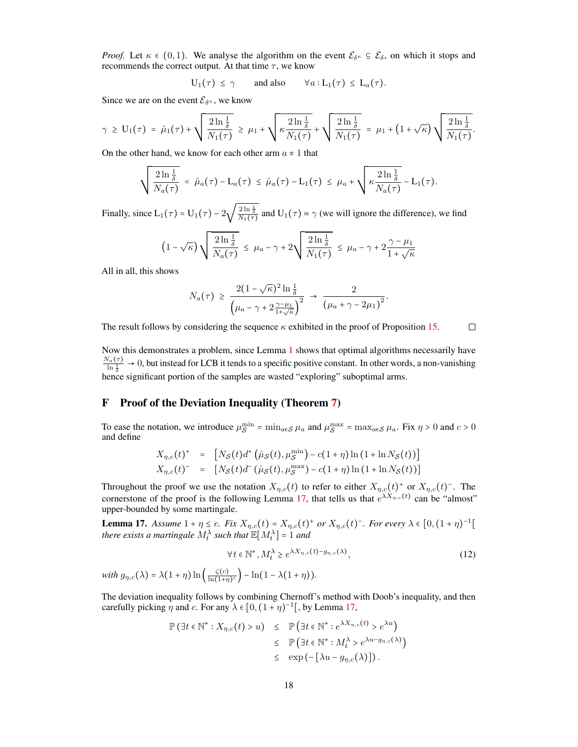*Proof.* Let  $\kappa \in (0,1)$ . We analyse the algorithm on the event  $\mathcal{E}_{\delta^{\kappa}} \subseteq \mathcal{E}_{\delta}$ , on which it stops and recommends the correct output. At that time  $\tau$ , we know

$$
U_1(\tau) \leq \gamma \qquad \text{and also} \qquad \forall a: L_1(\tau) \leq L_a(\tau).
$$

Since we are on the event  $\mathcal{E}_{\delta^{\kappa}}$ , we know

$$
\gamma \geq U_1(\tau) = \hat{\mu}_1(\tau) + \sqrt{\frac{2 \ln \frac{1}{\delta}}{N_1(\tau)}} \geq \mu_1 + \sqrt{\kappa \frac{2 \ln \frac{1}{\delta}}{N_1(\tau)}} + \sqrt{\frac{2 \ln \frac{1}{\delta}}{N_1(\tau)}} = \mu_1 + (1 + \sqrt{\kappa}) \sqrt{\frac{2 \ln \frac{1}{\delta}}{N_1(\tau)}}.
$$

On the other hand, we know for each other arm  $a \neq 1$  that

$$
\sqrt{\frac{2\ln\frac{1}{\delta}}{N_a(\tau)}} = \hat{\mu}_a(\tau) - \mathcal{L}_a(\tau) \leq \hat{\mu}_a(\tau) - \mathcal{L}_1(\tau) \leq \mu_a + \sqrt{\kappa \frac{2\ln\frac{1}{\delta}}{N_a(\tau)}} - \mathcal{L}_1(\tau).
$$

Finally, since  $L_1(\tau) = U_1(\tau) - 2\sqrt{\frac{2 \ln \frac{1}{\delta}}{N_1(\tau)}}$  and  $U_1(\tau) \approx \gamma$  (we will ignore the difference), we find

$$
\left(1-\sqrt{\kappa}\right)\sqrt{\frac{2\ln{\frac{1}{\delta}}}{N_a(\tau)}} \leq \mu_a - \gamma + 2\sqrt{\frac{2\ln{\frac{1}{\delta}}}{N_1(\tau)}} \leq \mu_a - \gamma + 2\frac{\gamma - \mu_1}{1+\sqrt{\kappa}}
$$

All in all, this shows

$$
N_a(\tau) \geq \frac{2(1-\sqrt{\kappa})^2 \ln \frac{1}{\delta}}{\left(\mu_a - \gamma + 2\frac{\gamma - \mu_1}{1+\sqrt{\kappa}}\right)^2} \to \frac{2}{\left(\mu_a + \gamma - 2\mu_1\right)^2}.
$$

 $\Box$ The result follows by considering the sequence  $\kappa$  exhibited in the proof of Proposition [15.](#page-16-1)

Now this demonstrates a problem, since Lemma [1](#page-2-3) shows that optimal algorithms necessarily have  $\frac{N_a(\tau)}{\ln \frac{1}{\delta}} \to 0$ , but instead for LCB it tends to a specific positive constant. In other words, a non-vanishing hence significant portion of the samples are wasted "exploring" suboptimal arms.

#### <span id="page-17-0"></span>F Proof of the Deviation Inequality (Theorem [7\)](#page-5-0)

To ease the notation, we introduce  $\mu_S^{\text{min}}$  $S^{\min}$  =  $\min_{a \in S} \mu_a$  and  $\mu_S^{\max}$  $S^{\max}$  =  $\max_{a \in S} \mu_a$ . Fix  $\eta > 0$  and  $c > 0$ and define

$$
X_{\eta,c}(t)^+ = [N_S(t)d^+(\hat{\mu}_S(t), \mu_S^{\min}) - c(1+\eta)\ln(1+\ln N_S(t))]
$$
  
\n
$$
X_{\eta,c}(t)^- = [N_S(t)d^-(\hat{\mu}_S(t), \mu_S^{\max}) - c(1+\eta)\ln(1+\ln N_S(t))]
$$

Throughout the proof we use the notation  $X_{\eta,c}(t)$  to refer to either  $X_{\eta,c}(t)^+$  or  $X_{\eta,c}(t)^-$ . The cornerstone of the proof is the following Lemma [17,](#page-17-1) that tells us that  $e^{\lambda X_{\eta,c}(t)}$  can be "almost" upper-bounded by some martingale.

<span id="page-17-1"></span>**Lemma 17.** Assume  $1 + \eta \leq e$ . Fix  $X_{\eta,c}(t) = X_{\eta,c}(t)^+$  or  $X_{\eta,c}(t)^-$ . For every  $\lambda \in [0, (1 + \eta)^{-1}[$ *there exists a martingale*  $M_t^{\lambda}$  such that  $\mathbb{E}[M_t^{\lambda}]$  =  $1$  and

$$
\forall t \in \mathbb{N}^*, M_t^{\lambda} \ge e^{\lambda X_{\eta,c}(t) - g_{\eta,c}(\lambda)}, \tag{12}
$$

with  $g_{\eta,c}(\lambda) = \lambda(1+\eta) \ln\left(\frac{\zeta(c)}{\ln(1+\eta)}\right)$  $\frac{\zeta(c)}{\ln(1+\eta)^c}$   $\frac{}{\ln(1-\lambda(1+\eta))}$ .

The deviation inequality follows by combining Chernoff's method with Doob's inequality, and then carefully picking  $\eta$  and c. For any  $\lambda \in [0, (1 + \eta)^{-1}]$ , by Lemma [17,](#page-17-1)

$$
\mathbb{P}(\exists t \in \mathbb{N}^* : X_{\eta,c}(t) > u) \leq \mathbb{P}(\exists t \in \mathbb{N}^* : e^{\lambda X_{\eta,c}(t)} > e^{\lambda u})
$$
  
\n
$$
\leq \mathbb{P}(\exists t \in \mathbb{N}^* : M_t^{\lambda} > e^{\lambda u - g_{\eta,c}(\lambda)})
$$
  
\n
$$
\leq \exp(-[\lambda u - g_{\eta,c}(\lambda)]).
$$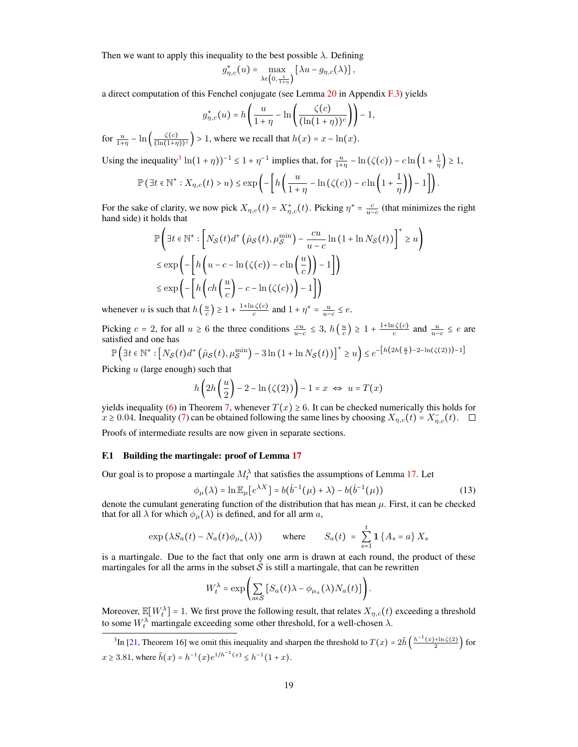Then we want to apply this inequality to the best possible  $\lambda$ . Defining

$$
g_{\eta,c}^*(u) = \max_{\lambda \in \left(0, \frac{1}{1+\eta}\right)} \left[\lambda u - g_{\eta,c}(\lambda)\right],
$$

a direct computation of this Fenchel conjugate (see Lemma  $20$  in Appendix  $F(3)$ ) yields

$$
g_{\eta,c}^*(u) = h\left(\frac{u}{1+\eta} - \ln\left(\frac{\zeta(c)}{(\ln(1+\eta))^c}\right)\right) - 1,
$$

for  $\frac{u}{1+\eta} - \ln\left(\frac{\zeta(c)}{(\ln(1+\eta))^c}\right) > 1$ , where we recall that  $h(x) = x - \ln(x)$ .

Using the inequality<sup>[3](#page-18-0)</sup>  $\ln(1+\eta)$ <sup>-1</sup>  $\leq 1 + \eta^{-1}$  implies that, for  $\frac{u}{1+\eta} - \ln(\zeta(c)) - c \ln\left(1 + \frac{1}{\eta}\right) \geq 1$ ,

$$
\mathbb{P}\left(\exists t \in \mathbb{N}^* : X_{\eta,c}(t) > u\right) \le \exp\left(-\left[h\left(\frac{u}{1+\eta} - \ln\left(\zeta(c)\right) - c\ln\left(1+\frac{1}{\eta}\right)\right) - 1\right]\right).
$$

For the sake of clarity, we now pick  $X_{\eta,c}(t) = X_{\eta,c}^+(t)$ . Picking  $\eta^* = \frac{c}{u-c}$  (that minimizes the right hand side) it holds that hand side) it holds that

$$
\mathbb{P}\left(\exists t \in \mathbb{N}^* : \left[N_{\mathcal{S}}(t)d^+\left(\hat{\mu}_{\mathcal{S}}(t), \mu_{\mathcal{S}}^{\min}\right) - \frac{cu}{u-c}\ln\left(1 + \ln N_{\mathcal{S}}(t)\right)\right]^+ \ge u\right)
$$
\n
$$
\le \exp\left(-\left[h\left(u-c-\ln\left(\zeta(c)\right)-c\ln\left(\frac{u}{c}\right)\right)-1\right]\right)
$$
\n
$$
\le \exp\left(-\left[h\left(ch\left(\frac{u}{c}\right)-c-\ln\left(\zeta(c)\right)\right)-1\right]\right)
$$

whenever u is such that  $h\left(\frac{u}{c}\right) \geq 1 + \frac{1+\ln \zeta(c)}{c}$  and  $1 + \eta^* = \frac{u}{u-c} \leq e$ .

Picking  $c = 2$ , for all  $u \ge 6$  the three conditions  $\frac{cu}{u-c} \le 3$ ,  $h\left(\frac{u}{c}\right) \ge 1 + \frac{1+\ln\zeta(c)}{c}$  and  $\frac{u}{u-c} \le e$  are existency satisfied and one has

$$
\mathbb{P}\left(\exists t \in \mathbb{N}^* : \left[N_{\mathcal{S}}(t)d^+\left(\hat{\mu}_{\mathcal{S}}(t), \mu_{\mathcal{S}}^{\min}\right) - 3\ln\left(1 + \ln N_{\mathcal{S}}(t)\right)\right]^+ \ge u\right) \le e^{-\left[h\left(2h\left(\frac{u}{2}\right) - 2 - \ln(\zeta(2))\right) - 1\right]}
$$

Picking  $u$  (large enough) such that

$$
h\left(2h\left(\frac{u}{2}\right)-2-\ln\left(\zeta(2)\right)\right)-1=x \iff u=T(x)
$$

yields inequality [\(6\)](#page-5-5) in Theorem [7,](#page-5-0) whenever  $T(x) \ge 6$ . It can be checked numerically this holds for  $x \ge 0.04$ . Inequality [\(7\)](#page-5-5) can be obtained following the same lines by choosing  $X_{\eta,c}(t) = X_{\eta,c}^-(t)$ .

Proofs of intermediate results are now given in separate sections.

#### F.1 Building the martingale: proof of Lemma [17](#page-17-1)

Our goal is to propose a martingale  $M_t^{\lambda}$  that satisfies the assumptions of Lemma [17.](#page-17-1) Let

<span id="page-18-1"></span>
$$
\phi_{\mu}(\lambda) = \ln \mathbb{E}_{\mu} \left[ e^{\lambda X} \right] = b(\dot{b}^{-1}(\mu) + \lambda) - b(\dot{b}^{-1}(\mu)) \tag{13}
$$

denote the cumulant generating function of the distribution that has mean  $\mu$ . First, it can be checked that for all  $\lambda$  for which  $\phi_{\mu}(\lambda)$  is defined, and for all arm a,

$$
\exp\left(\lambda S_a(t) - N_a(t)\phi_{\mu_a}(\lambda)\right) \qquad \text{where} \qquad S_a(t) = \sum_{s=1}^t \mathbf{1}\left\{A_s = a\right\} X_s
$$

is a martingale. Due to the fact that only one arm is drawn at each round, the product of these martingales for all the arms in the subset  $S$  is still a martingale, that can be rewritten

$$
W_t^{\lambda} = \exp\left(\sum_{a \in \mathcal{S}} \left[ S_a(t)\lambda - \phi_{\mu_a}(\lambda) N_a(t) \right] \right).
$$

Moreover,  $\mathbb{E}[W_t^{\lambda}]$  = 1. We first prove the following result, that relates  $X_{\eta,c}(t)$  exceeding a threshold to some  $W_t^{\lambda}$  martingale exceeding some other threshold, for a well-chosen  $\lambda$ .

<span id="page-18-0"></span><sup>3</sup>In [\[21,](#page-9-18) Theorem 16] we omit this inequality and sharpen the threshold to  $T(x) = 2\tilde{h}\left(\frac{h^{-1}(x)+\ln \zeta(2)}{2}\right)$  for  $x \ge 3.81$ , where  $\tilde{h}(x) = h^{-1}(x)e^{1/h^{-1}(x)} \le h^{-1}(1+x)$ .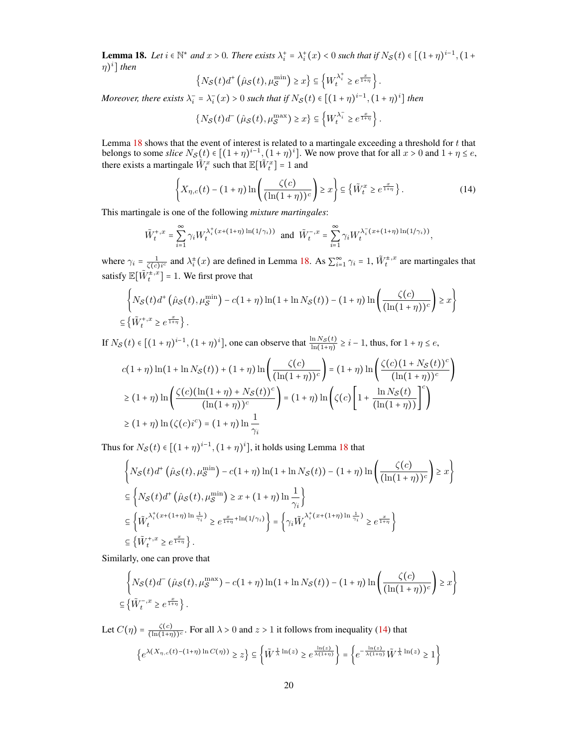<span id="page-19-1"></span>**Lemma 18.** Let  $i \in \mathbb{N}^*$  and  $x > 0$ . There exists  $\lambda_i^+ = \lambda_i^+(x) < 0$  such that if  $N_S(t) \in [(1+\eta)^{i-1}, (1+\eta)^{i}]$ η) i ] *then*

$$
\left\{N_{\mathcal{S}}(t)d^+\left(\hat{\mu}_{\mathcal{S}}(t),\mu_{\mathcal{S}}^{\min}\right)\geq x\right\}\subseteq\left\{W_t^{\lambda_i^+}\geq e^{\frac{x}{1+\eta}}\right\}.
$$

*Moreover, there exists*  $\lambda_i^- = \lambda_i^-(x) > 0$  *such that if*  $N_S(t) \in [(1 + \eta)^{i-1}, (1 + \eta)^i]$  *then* 

$$
\left\{N_{\mathcal{S}}(t)d^{-}\left(\hat{\mu}_{\mathcal{S}}(t),\mu_{\mathcal{S}}^{\max}\right)\geq x\right\}\subseteq\left\{W_{t}^{\lambda_{i}^{-}}\geq e^{\frac{x}{1+\eta}}\right\}.
$$

Lemma [18](#page-19-1) shows that the event of interest is related to a martingale exceeding a threshold for  $t$  that belongs to some *slice*  $N_S(t) \in [(1 + \eta)^{i-1}, (1 + \eta)^i]$ . We now prove that for all  $x > 0$  and  $1 + \eta \le e$ , there exists a martingale  $\tilde{W}_t^x$  such that  $\mathbb{E}[\tilde{W}_t^x] = 1$  and

<span id="page-19-0"></span>
$$
\left\{ X_{\eta,c}(t) - (1+\eta) \ln \left( \frac{\zeta(c)}{(\ln(1+\eta))^c} \right) \ge x \right\} \subseteq \left\{ \tilde{W}_t^x \ge e^{\frac{x}{1+\eta}} \right\}.
$$
 (14)

This martingale is one of the following *mixture martingales*:

$$
\tilde{W}_t^{+,x} = \sum_{i=1}^{\infty} \gamma_i W_t^{\lambda_i^+(x + (1+\eta)\ln(1/\gamma_i))} \text{ and } \tilde{W}_t^{-,x} = \sum_{i=1}^{\infty} \gamma_i W_t^{\lambda_i^-(x + (1+\eta)\ln(1/\gamma_i))},
$$

where  $\gamma_i = \frac{1}{\zeta(c)i^c}$  and  $\lambda_i^{\pm}(x)$  are defined in Lemma [18.](#page-19-1) As  $\sum_{i=1}^{\infty} \gamma_i = 1$ ,  $\tilde{W}_t^{\pm,x}$  are martingales that satisfy  $\mathbb{E}[\tilde{W}_t^{\pm,x}] = 1$ . We first prove that

$$
\left\{ N_{\mathcal{S}}(t)d^+\left(\hat{\mu}_{\mathcal{S}}(t),\mu_{\mathcal{S}}^{\min}\right) - c(1+\eta)\ln(1+\ln N_{\mathcal{S}}(t)) - (1+\eta)\ln\left(\frac{\zeta(c)}{(\ln(1+\eta))^c}\right) \geq x \right\}
$$
  

$$
\subseteq \left\{ \tilde{W}_t^{+,x} \geq e^{\frac{x}{1+\eta}} \right\}.
$$

If  $N_S(t) \in [(1 + \eta)^{i-1}, (1 + \eta)^i]$ , one can observe that  $\frac{\ln N_S(t)}{\ln(1 + \eta)} \ge i - 1$ , thus, for  $1 + \eta \le e$ ,

$$
c(1+\eta)\ln(1+\ln N_{\mathcal{S}}(t)) + (1+\eta)\ln\left(\frac{\zeta(c)}{(\ln(1+\eta))^c}\right) = (1+\eta)\ln\left(\frac{\zeta(c)(1+N_{\mathcal{S}}(t))^c}{(\ln(1+\eta))^c}\right)
$$

$$
\geq (1+\eta)\ln\left(\frac{\zeta(c)(\ln(1+\eta)+N_{\mathcal{S}}(t))^c}{(\ln(1+\eta))^c}\right) = (1+\eta)\ln\left(\zeta(c)\left[1+\frac{\ln N_{\mathcal{S}}(t)}{(\ln(1+\eta))}\right]^c\right)
$$

$$
\geq (1+\eta)\ln(\zeta(c)i^c) = (1+\eta)\ln\frac{1}{\gamma_i}
$$

Thus for  $N_{\mathcal{S}}(t) \in [(1 + \eta)^{i-1}, (1 + \eta)^i]$ , it holds using Lemma [18](#page-19-1) that

$$
\left\{ N_{\mathcal{S}}(t) d^{+} \left( \hat{\mu}_{\mathcal{S}}(t), \mu_{\mathcal{S}}^{\min} \right) - c(1+\eta) \ln(1 + \ln N_{\mathcal{S}}(t)) - (1+\eta) \ln \left( \frac{\zeta(c)}{(\ln(1+\eta))^{c}} \right) \geq x \right\}
$$
\n
$$
\subseteq \left\{ N_{\mathcal{S}}(t) d^{+} \left( \hat{\mu}_{\mathcal{S}}(t), \mu_{\mathcal{S}}^{\min} \right) \geq x + (1+\eta) \ln \frac{1}{\gamma_{i}} \right\}
$$
\n
$$
\subseteq \left\{ \tilde{W}_{t}^{\lambda_{i}^{+}(x+(1+\eta)\ln \frac{1}{\gamma_{i}})} \geq e^{\frac{x}{1+\eta} + \ln(1/\gamma_{i})} \right\} = \left\{ \gamma_{i} \tilde{W}_{t}^{\lambda_{i}^{+}(x+(1+\eta)\ln \frac{1}{\gamma_{i}})} \geq e^{\frac{x}{1+\eta}} \right\}
$$
\n
$$
\subseteq \left\{ \tilde{W}_{t}^{+,x} \geq e^{\frac{x}{1+\eta}} \right\}.
$$

Similarly, one can prove that

$$
\left\{ N_{\mathcal{S}}(t)d^{-}(\hat{\mu}_{\mathcal{S}}(t),\mu_{\mathcal{S}}^{\max}) - c(1+\eta)\ln(1+\ln N_{\mathcal{S}}(t)) - (1+\eta)\ln\left(\frac{\zeta(c)}{(\ln(1+\eta))^{c}}\right) \geq x \right\}
$$
  

$$
\subseteq \left\{ \tilde{W}_{t}^{-,x} \geq e^{\frac{x}{1+\eta}} \right\}.
$$

Let  $C(\eta) = \frac{\zeta(c)}{(\ln(1+n))}$  $\frac{\zeta(c)}{(\ln(1+\eta))c}$ . For all  $\lambda > 0$  and  $z > 1$  it follows from inequality [\(14\)](#page-19-0) that

$$
\left\{e^{\lambda(X_{\eta,c}(t) - (1+\eta)\ln C(\eta))} \geq z\right\} \subseteq \left\{\tilde{W}^{\frac{1}{\lambda}\ln(z)} \geq e^{\frac{\ln(z)}{\lambda(1+\eta)}}\right\} = \left\{e^{-\frac{\ln(z)}{\lambda(1+\eta)}}\tilde{W}^{\frac{1}{\lambda}\ln(z)} \geq 1\right\}
$$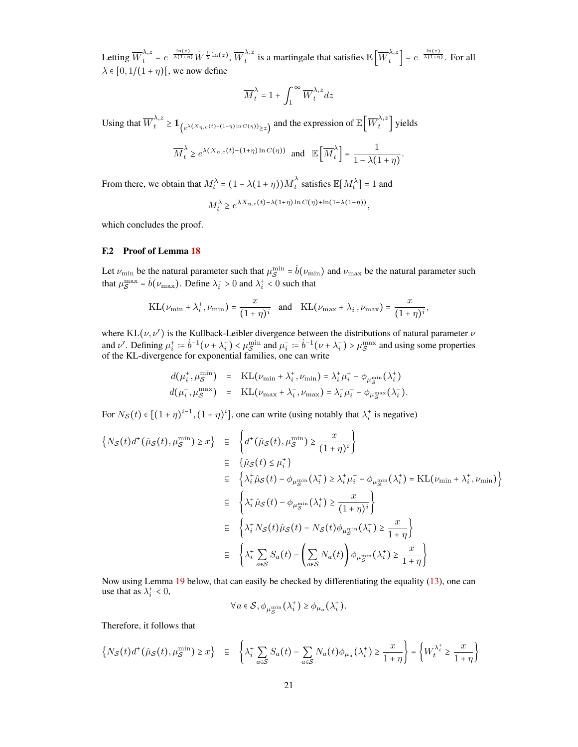Letting  $\overline{W}^{\lambda,z}_{t} = e^{-\frac{\ln(z)}{\lambda(1+\eta)}} \tilde{W}^{\frac{1}{\lambda}\ln(z)}, \overline{W}^{\lambda,z}_{t}$  $\frac{\lambda}{t}$  is a martingale that satisfies  $\mathbb{E}\left[\overline{W}^{\lambda,z}_t\right]$  $\left\{ \frac{\lambda}{t} \right\} = e^{-\frac{\ln(z)}{\lambda(1+\eta)}}$ . For all  $\lambda \in [0, 1/(1 + \eta)]$ , we now define

$$
\overline{M}_t^{\lambda} = 1 + \int_1^{\infty} \overline{W}_t^{\lambda, z} dz
$$

Using that  $\overline{W}_t^{\lambda,z} \geq \mathbb{1}_{\left(e^{\lambda(X_\eta,c(t)- (1+\eta)\ln C(\eta))} \geq z\right)}$  and the expression of  $\mathbb{E} \left[\overline{W}_t^{\lambda,z}\right]$  $\hat{t}^{\prime\prime}$  yields

$$
\overline{M}_t^{\lambda} \ge e^{\lambda(X_{\eta,c}(t) - (1+\eta)\ln C(\eta))} \text{ and } \mathbb{E}\left[\overline{M}_t^{\lambda}\right] = \frac{1}{1 - \lambda(1+\eta)}
$$

.

From there, we obtain that  $M_t^{\lambda} = (1 - \lambda(1 + \eta))\overline{M}_t^{\lambda}$  $\sum_{t=1}^{\lambda}$  satisfies  $\mathbb{E}[M_t^{\lambda}] = 1$  and

$$
M_t^{\lambda} \ge e^{\lambda X_{\eta,c}(t) - \lambda(1+\eta) \ln C(\eta) + \ln(1-\lambda(1+\eta))},
$$

which concludes the proof.

#### F.2 Proof of Lemma [18](#page-19-1)

Let  $\nu_{\rm min}$  be the natural parameter such that  $\mu_S^{\rm min} = \dot{b}(\nu_{\rm min})$  and  $\nu_{\rm max}$  be the natural parameter such that  $\mu_S^{\max} = \dot{b}(\nu_{\max})$ . Define  $\lambda_i > 0$  and  $\lambda_i < 0$  $\int_{\mathcal{S}}^{\max} = \dot{b}(\nu_{\max})$ . Define  $\lambda_i^+ > 0$  and  $\lambda_i^+ < 0$  such that

$$
KL(\nu_{\min} + \lambda_i^+, \nu_{\min}) = \frac{x}{(1+\eta)^i} \quad \text{and} \quad KL(\nu_{\max} + \lambda_i^-, \nu_{\max}) = \frac{x}{(1+\eta)^i},
$$

where  $KL(\nu, \nu')$  is the Kullback-Leibler divergence between the distributions of natural parameter  $\nu$ and  $\nu'$ . Defining  $\mu_i^+ := \dot{b}^{-1}(\nu + \lambda_i^+) < \mu_S^{\min}$  $\lim_{S \to \infty}$  and  $\mu_i^- := \dot{b}^{-1}(\nu + \lambda_i^-) > \mu_S^{\text{max}}$  $s^{\text{max}}$  and using some properties of the KL-divergence for exponential families, one can write

$$
d(\mu_i^+, \mu_S^{\min}) = \text{KL}(\nu_{\min} + \lambda_i^+, \nu_{\min}) = \lambda_i^+ \mu_i^+ - \phi_{\mu_S^{\min}}(\lambda_i^+)
$$
  

$$
d(\mu_i^-, \mu_S^{\max}) = \text{KL}(\nu_{\max} + \lambda_i^-, \nu_{\max}) = \lambda_i^- \mu_i^- - \phi_{\mu_S^{\max}}(\lambda_i^-).
$$

For  $N_S(t) \in [(1 + \eta)^{i-1}, (1 + \eta)^i]$ , one can write (using notably that  $\lambda_i^+$  is negative)

$$
\begin{aligned}\n\left\{ N_{\mathcal{S}}(t)d^{+}(\hat{\mu}_{\mathcal{S}}(t),\mu_{\mathcal{S}}^{\min})\geq x\right\} &\subseteq \left\{ d^{+}(\hat{\mu}_{\mathcal{S}}(t),\mu_{\mathcal{S}}^{\min})\geq \frac{x}{(1+\eta)^{i}}\right\} \\
&\subseteq \left\{ \hat{\mu}_{\mathcal{S}}(t)\leq \mu_{i}^{+}\right\} \\
&\subseteq \left\{ \lambda_{i}^{+}\hat{\mu}_{\mathcal{S}}(t)-\phi_{\mu_{\mathcal{S}}^{\min}}(\lambda_{i}^{+})\geq \lambda_{i}^{+}\mu_{i}^{+}-\phi_{\mu_{\mathcal{S}}^{\min}}(\lambda_{i}^{+})=\mathrm{KL}(\nu_{\min}+\lambda_{i}^{+},\nu_{\min})\right\} \\
&\subseteq \left\{ \lambda_{i}^{+}\hat{\mu}_{\mathcal{S}}(t)-\phi_{\mu_{\mathcal{S}}^{\min}}(\lambda_{i}^{+})\geq \frac{x}{(1+\eta)^{i}}\right\} \\
&\subseteq \left\{ \lambda_{i}^{+}N_{\mathcal{S}}(t)\hat{\mu}_{\mathcal{S}}(t)-N_{\mathcal{S}}(t)\phi_{\mu_{\mathcal{S}}^{\min}}(\lambda_{i}^{+})\geq \frac{x}{1+\eta}\right\} \\
&\subseteq \left\{ \lambda_{i}^{+}\sum_{a\in\mathcal{S}}S_{a}(t)-\left(\sum_{a\in\mathcal{S}}N_{a}(t)\right)\phi_{\mu_{\mathcal{S}}^{\min}}(\lambda_{i}^{+})\geq \frac{x}{1+\eta}\right\}\n\end{aligned}
$$

Now using Lemma [19](#page-21-3) below, that can easily be checked by differentiating the equality [\(13\)](#page-18-1), one can use that as  $\lambda_i^+ < 0$ ,

$$
\forall a \in \mathcal{S}, \phi_{\mu_{\mathcal{S}}^{\min}}(\lambda_i^+) \geq \phi_{\mu_a}(\lambda_i^+).
$$

 $\circ$ 

Therefore, it follows that

$$
\left\{N_{\mathcal{S}}(t)d^{+}(\hat{\mu}_{\mathcal{S}}(t),\mu_{\mathcal{S}}^{\min})\geq x\right\} \quad \subseteq \quad \left\{\lambda_{i}^{+}\sum_{a\in\mathcal{S}}S_{a}(t)-\sum_{a\in\mathcal{S}}N_{a}(t)\phi_{\mu_{a}}(\lambda_{i}^{+})\geq \frac{x}{1+\eta}\right\} = \left\{W_{t}^{\lambda_{i}^{+}}\geq \frac{x}{1+\eta}\right\}
$$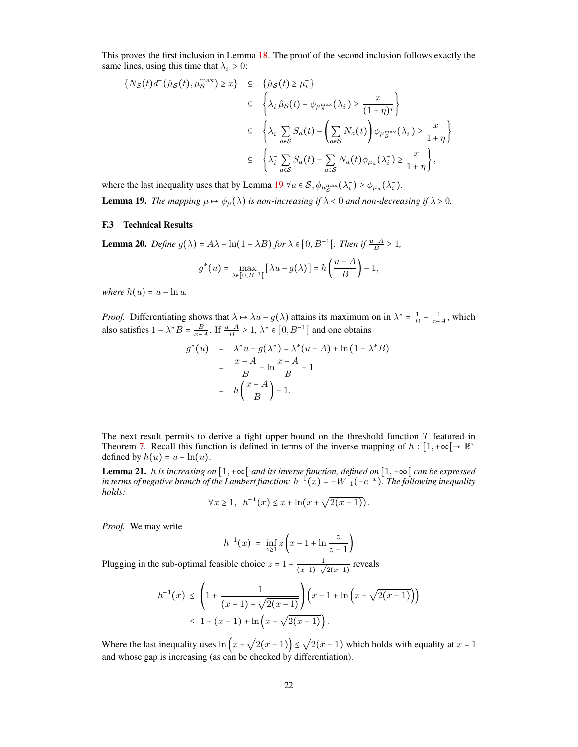This proves the first inclusion in Lemma [18.](#page-19-1) The proof of the second inclusion follows exactly the same lines, using this time that  $\lambda_i^- > 0$ :

$$
\{N_{\mathcal{S}}(t)d^{-}(\hat{\mu}_{\mathcal{S}}(t),\mu_{\mathcal{S}}^{\max})\geq x\} \subseteq \{\hat{\mu}_{\mathcal{S}}(t)\geq \mu_{i}^{-}\}\
$$
  

$$
\subseteq \left\{\lambda_{i}^{-}\hat{\mu}_{\mathcal{S}}(t) - \phi_{\mu_{\mathcal{S}}^{\max}}(\lambda_{i}^{-})\geq \frac{x}{(1+\eta)^{i}}\right\}
$$
  

$$
\subseteq \left\{\lambda_{i}^{-}\sum_{a\in\mathcal{S}}S_{a}(t) - \left(\sum_{a\in\mathcal{S}}N_{a}(t)\right)\phi_{\mu_{\mathcal{S}}^{\max}}(\lambda_{i}^{-})\geq \frac{x}{1+\eta}\right\}
$$
  

$$
\subseteq \left\{\lambda_{i}^{-}\sum_{a\in\mathcal{S}}S_{a}(t) - \sum_{a\in\mathcal{S}}N_{a}(t)\phi_{\mu_{a}}(\lambda_{i}^{-})\geq \frac{x}{1+\eta}\right\},\right\}
$$

<span id="page-21-3"></span>where the last inequality uses that by Lemma [19](#page-21-3)  $\forall a \in S$ ,  $\phi_{\mu_{\mathcal{S}}^{\max}}(\lambda_i^{-}) \geq \phi_{\mu_a}(\lambda_i^{-})$ . **Lemma 19.** The mapping  $\mu \mapsto \phi_{\mu}(\lambda)$  is non-increasing if  $\lambda < 0$  and non-decreasing if  $\lambda > 0$ .

#### <span id="page-21-1"></span>F.3 Technical Results

<span id="page-21-2"></span>**Lemma 20.** *Define*  $g(\lambda) = A\lambda - \ln(1 - \lambda B)$  *for*  $\lambda \in [0, B^{-1}]$ . *Then if*  $\frac{u - A}{B} \ge 1$ *,* 

$$
g^*(u) = \max_{\lambda \in [0, B^{-1}[} [\lambda u - g(\lambda)] = h\left(\frac{u - A}{B}\right) - 1,
$$

*where*  $h(u) = u - \ln u$ .

*Proof.* Differentiating shows that  $\lambda \mapsto \lambda u - g(\lambda)$  attains its maximum on in  $\lambda^* = \frac{1}{B} - \frac{1}{x-A}$ , which also satisfies  $1 - \lambda^* B = \frac{B}{x - A}$ . If  $\frac{u - A}{B} \ge 1$ ,  $\lambda^* \in [0, B^{-1}]$  and one obtains

$$
g^*(u) = \lambda^* u - g(\lambda^*) = \lambda^* (u - A) + \ln(1 - \lambda^* B)
$$
  
= 
$$
\frac{x - A}{B} - \ln \frac{x - A}{B} - 1
$$
  
= 
$$
h\left(\frac{x - A}{B}\right) - 1.
$$

 $\Box$ 

The next result permits to derive a tight upper bound on the threshold function  $T$  featured in Theorem [7.](#page-5-0) Recall this function is defined in terms of the inverse mapping of  $h: [1, +\infty[ \rightarrow \mathbb{R}^*$ defined by  $h(u) = u - \ln(u)$ .

<span id="page-21-0"></span>**Lemma 21.** *h is increasing on*  $[1, +\infty)$  *and its inverse function, defined on*  $[1, +\infty)$  *can be expressed* in terms of negative branch of the Lambert function:  $h^{-1}(x) = -W_{-1}(-e^{-x})$ . The following inequality *holds:* √

$$
\forall x \ge 1, \ \ h^{-1}(x) \le x + \ln(x + \sqrt{2(x-1)}).
$$

*Proof.* We may write

$$
h^{-1}(x) = \inf_{z \ge 1} z \left( x - 1 + \ln \frac{z}{z - 1} \right)
$$

Plugging in the sub-optimal feasible choice  $z = 1 + \frac{1}{(z-1)^2}$  $\frac{1}{(x-1)+\sqrt{2(x-1)}}$  reveals

$$
h^{-1}(x) \le \left(1 + \frac{1}{(x-1) + \sqrt{2(x-1)}}\right) \left(x - 1 + \ln\left(x + \sqrt{2(x-1)}\right)\right)
$$
  
\$\le 1 + (x-1) + \ln\left(x + \sqrt{2(x-1)}\right)\$.

Where the last inequality uses  $\ln(x + \sqrt{2(x-1)}) \leq \sqrt{2(x-1)}$  which holds with equality at  $x = 1$ and whose gap is increasing (as can be checked by differentiation).  $\Box$